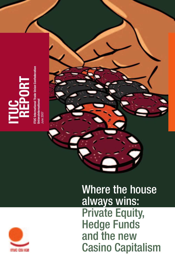# **ITUC REPORT**

**ITUC International Trade Union Confederation**  ITUC International Trade Union Confederation<br>UnionsInternational<br>June 2007 **UnionsInternational** June 2007



Where the house always wins: Private Equity, Hedge Funds and the new Casino Capitalism

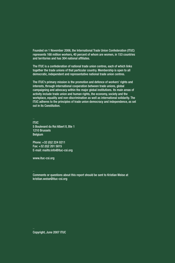Founded on 1 November 2006, the International Trade Union Confederation (ITUC) represents 168 million workers, 40 percent of whom are women, in 153 countries and territories and has 304 national affiliates.

The ITUC is a confederation of national trade union centres, each of which links together the trade unions of that particular country. Membership is open to all democratic, independent and representative national trade union centres.

The ITUC's primary mission is the promotion and defence of workers' rights and interests, through international cooperation between trade unions, global campaigning and advocacy within the major global institutions. Its main areas of activity include trade union and human rights, the economy, society and the workplace, equality and non-discrimination as well as international solidarity. The ITUC adheres to the principles of trade union democracy and independence, as set out in its Constitution.

ITUC 5 Boulevard du Roi Albert II, Bte 1 1210 Brussels Belgium

Phone: +32 (0)2 224 0211 Fax: +32 (0)2 201 5815 E-mail: mailto:info@ituc-csi.org

www.ituc-csi.org

\_

\_

Comments or questions about this report should be sent to Kristian Weise at kristian.weise@ituc-csi.org

Copyright, June 2007 ITUC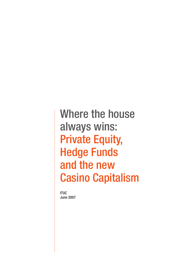ITUC June 2007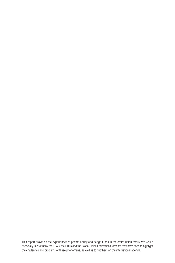This report draws on the experiences of private equity and hedge funds in the entire union family. We would especially like to thank the TUAC, the ETUC and the Global Union Federations for what they have done to highlight the challenges and problems of these phenomena, as well as to put them on the international agenda.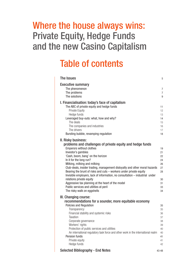# Table of contents

| The Issues                                                                                                                                         | 5              |
|----------------------------------------------------------------------------------------------------------------------------------------------------|----------------|
| <b>Executive summary</b>                                                                                                                           |                |
| The phenomenon                                                                                                                                     | 7              |
| The problems                                                                                                                                       | $\overline{7}$ |
| The solutions                                                                                                                                      | 9              |
| I. Financialisation: today's face of capitalism                                                                                                    |                |
| The ABC of private equity and hedge funds                                                                                                          | 11             |
| Private Equity<br>Hedge funds                                                                                                                      | 12             |
| Leveraged buy-outs: what, how and why?                                                                                                             | 13<br>14       |
| The deals                                                                                                                                          | 15             |
| The companies and industries                                                                                                                       | 16             |
| The drivers                                                                                                                                        | 17             |
| Bursting bubble, revamping regulation                                                                                                              | 18             |
| II. Risky business:                                                                                                                                |                |
| problems and challenges of private equity and hedge funds                                                                                          |                |
| <b>Emperors without clothes</b>                                                                                                                    | 19             |
| Investor's gambles                                                                                                                                 | 21             |
| 'Cash, boom, bang' on the horizon                                                                                                                  | 22             |
| In it for the long run?                                                                                                                            | 24             |
| Milking, milking and milking                                                                                                                       | 26             |
| Club-deals, insider trading, management disloyalty and other moral hazards                                                                         | 27             |
| Bearing the brunt of risks and cuts - workers under private equity<br>Invisible employers, lack of information, no consultation - industrial under | 28             |
| relations private equity                                                                                                                           | 30             |
| Aggressive tax planning at the heart of the model                                                                                                  | 31             |
| Public services and utilities at peril                                                                                                             | 33             |
| The risky walk on eggshells                                                                                                                        | 34             |
| III. Changing course:                                                                                                                              |                |
| recommendations for a sounder, more equitable economy                                                                                              |                |
| Policies and Regulation                                                                                                                            | 35             |
| Transparency                                                                                                                                       | 35             |
| Financial stability and systemic risks                                                                                                             | 36             |
| Taxation                                                                                                                                           | 37             |
| Corporate governance                                                                                                                               | 38             |
| Workers' rights<br>Protection of public services and utilities                                                                                     | 39<br>40       |
| An international regulatory task force and other work in the international realm                                                                   | 40             |
| Pension funds                                                                                                                                      | 41             |
| Private equity                                                                                                                                     | 41             |
| Hedge funds                                                                                                                                        | 42             |
| Selected Bibliography - End Notes                                                                                                                  | 43-48          |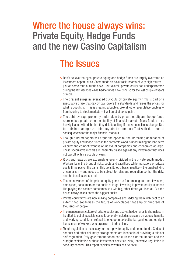# The Issues

- > Don't believe the hype: private equity and hedge funds are largely overrated as investment opportunities. Some funds do have track records of very high returns – just as some mutual funds have – but overall, private equity has underperformed during the last decades while hedge funds have done so for the last couple of years or more.
- > The present surge in leveraged buy-outs by private equity firms is part of a speculative craze that day by day lowers the standards and raises the prices for what is bought up. This is creating a bubble. Like all other speculative bubbles – from housing to stock markets – it will burst at some point.
- > The debt leverage presently undertaken by private equity and hedge funds represents a great risk to the stability of financial markets. Many funds are so heavily loaded with debt that they risk defaulting if market conditions change. Due to their increasing size, this may start a domino effect with detrimental consequences for the major financial markets.
- > Though fund managers will argue the opposite, the increasing dominance of private equity and hedge funds in the corporate world is undermining the long-term viability and competitiveness of individual companies and economies at large. These speculative models are inherently biased against any investment that does not pay off within a couple of years.
- > Risks and rewards are extremely unevenly divided in the private equity model. Workers bear the brunt of risks, costs and sacrifices while managers of private equity firms pocket the gains. This constitutes a basic injustice – the cruellest kind of capitalism – and needs to be subject to rules and regulation so that the risks and the benefits are shared.
- > The main winners of the private equity game are fund managers not investors, employees, consumers or the public at large. Investing in private equity is indeed like playing the casino: sometimes you win big, other times you lose all. But the house always takes home the biggest bucks.
- > Private equity firms are now milking companies and saddling them with debt to an extent that jeopardises the future of workplaces that employ hundreds of thousands of people.
- > The management culture of private equity and activist hedge funds is shameless in its effort to cut all possible costs. It generally includes pressure on wages, benefits and working conditions; refusal to engage in collective bargaining; and outright harassment of workers who organise in trade unions.
- > Tough regulation is necessary for both private equity and hedge funds. Codes of conduct and other voluntary arrangements are incapable of providing sufficient self-regulation. Only government action can curb the external impact and the outright exploitation of these investment activities. New, innovative regulation is seriously needed. This report explains how this can be done.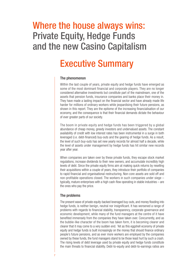# Executive Summary

### The phenomenon

Within the last couple of years, private equity and hedge funds have emerged as some of the most dominant financial and corporate players. They are no longer considered alternative investments but constitute part of the mainstream, one of the assets that pension funds, insurance companies and banks place their money in. They have made a lasting impact on the financial sector and have already made life harder for millions of ordinary workers while jeopardising their future pensions, as shown in this report. They are the epitome of the increasing financialisation of our economy, and the consequence is that their financial demands dictate the behaviour of ever greater parts of our society.

The boom in private equity and hedge funds has been triggered by a global abundance of cheap money, greedy investors and undervalued assets. The constant availability of credit with low interest rates has been instrumental in a surge in both leveraged (i.e. debt-financed) buy-outs and the gearing of hedge funds. As a result, the level of such buy-outs has set new yearly records for almost half a decade, while the level of assets under management by hedge funds has hit similar new records year after year.

When companies are taken over by these private funds, they escape stock market regulations, increase dividends to their new owners, and accumulate incredibly high levels of debt. Since the private equity firms aim at making quick returns by reselling their acquisitions within a couple of years, they introduce their portfolio of companies to rapid financial and organisational restructuring. Non-core assets are sold off and non-profitable operations closed. The workers in such companies under siege – typically, mature enterprises with a high cash-flow operating in stable industries – are the ones who pay the price.

### The problems

The present wave of private equity-backed leveraged buy-outs, and money flooding into hedge funds, is neither benign, neutral nor insignificant. It has worsened a range of problems with regards to financial stability, transparency, corporate governance and economic development, while many of the fund managers at the centre of it have benefited immensely from the companies they have taken over. Concurrently, and as the bubble-like character of the boom has taken form, it is becoming clearer and clearer that it may come to a very sudden end. Yet as this eggshell economy of private equity and hedge funds is built increasingly on the money that should finance ordinary people's future pensions, and as ever more workers are employed by the companies owned by these funds, the fund managers stand to be those least hurt by such a crash. The rising levels of debt leverage used by private equity and hedge funds constitute the main threats to financial stability. Debt-to-equity and debt-to-earnings ratios are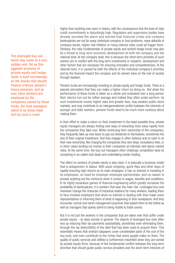The leveraged buy-out boom may come to a very sudden end. Yet as this eggshell economy of private equity and hedge funds is built increasingly on the money that should finance ordinary people's future pensions, and as ever more workers are employed by the companies owned by these funds, the fund managers stand to be those least hurt by such a crash.

higher than anything ever seen in history, with the consequence that the level of risky credit commitments is disturbingly high. Regulators and supervisory bodies have already sounded the alarm and warned that financial crises and company bankruptcies are not far away. Individual company or fund problems, mass defaults of company bonds, higher real inflation or rising interest rates could all trigger them. Similarly, the risky fundamentals of private equity and activist hedge funds may also be a threat to long-term economic development at both the company and the national level. At the company level, this is because the short-term priorities of such owners are in conflict with the long-term investments in research, development and other factors that are necessary for ensuring innovation and competitiveness. At the national level, it is caused by both the effects of the individual company's priorities and by the financial impact the company and its owners have on the rest of society through taxation.

Pension funds are increasingly investing in private equity and hedge funds. There is a popular perception that they can make a higher return by doing so. But when the performance of these funds is taken as a whole and evaluated over a long period, their returns turn out be rather average and indeed they often under-perform. As such investments involve higher risks and greater fees, may weaken public stock markets, and may contribute to an intergenerational conflict between the interests of younger and older workers, pension funds need to be much more cautious about making them.

In their effort to make a return on their investment in the least possible time, private equity managers are always finding new ways of extracting more value rapidly from the companies they take over. While continuing their ownership of the companies, they frequently take up new loans to pay out dividends to themselves, sometimes the size of their original investment. And they engage in other dubious acts to cash in on their new ownership, like charging the companies they own large consultancy fees, or in other cases lending out money to their companies at interests well above market rates. At the same time, the buy-out managers often challenge competition laws by conspiring in so-called club deals and undertaking insider trading.

The effect on workers of private equity is also clear: it is basically a business model that is antagonistic to labour. With asset stripping, quick-flips and other ways of rapidly ensuring high returns as its main strategies, it has no interest in investing in its employees, no need for employer-employee partnerships, and no reason to provide anything but the minimum when it comes to wages, benefits and conditions. In its highly hazardous games of financial engineering which greatly increases the probability of bankruptcies, it is workers that bear the main risk. Leveraged buy-outs moreover change the character of industrial relations for many workers, leading them to face invisible employers that show no interest in dealing with their trade union representatives or informing them of what is happening to their workplaces. And they encounter cynical and harsh management practices that exploit them to the fullest as well as managers that openly admit to being hostile to trade unions.

But it is not just the workers in the companies that are taken over that suffer under private equity – so does society in general. The objects of leveraged buy-outs often end up reducing their tax payments substantially, sometimes even eliminating them, through the tax deductibility of the debt that has been used to acquire them. This essentially means that ordinary taxpayers cover considerable parts of the cost of the buy-outs, and even contribute to the riches that some people make on them. The quality of public services and utilities is furthermore imperilled when they are owned by private equity firms, because of the fundamental conflict between the long-term priorities that should guide public service providers and the short-term interests of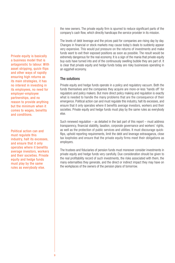Private equity is basically a business model that is antagonistic to labour. With asset stripping, quick-flips and other ways of rapidly ensuring high returns as its main strategies, it has no interest in investing in its employees, no need for employer-employee partnerships, and no reason to provide anything but the minimum when it comes to wages, benefits and conditions.

Political action can and must regulate this industry, halt its excesses, and ensure that it only operates where it benefits average investors, workers and their societies. Private equity and hedge funds must play by the same rules as everybody else.

the new owners. The private equity firm is spurred to reduce significant parts of the company's cash flow, which directly handicaps the service provider in its mission.

The levels of debt leverage and the prices paid for companies are rising day by day. Changes in financial or stock markets may cause today's deals to suddenly appear very expensive. This would put pressure on the returns of investments and make funds want to exit their exposed positions as soon as possible. The result would be extremely dangerous for the real economy. It is a sign of the mania that private equity buy-outs have turned into and of the continuously swelling bubble they are part of. It is clear that private equity and hedge funds today are risky businesses operating in an eggshell economy.

### The solutions

Private equity and hedge funds operate in a policy and regulatory vacuum. Both the funds themselves and the companies they acquire are more-or-less 'hands off' for regulators and policy makers. But more direct policy making and regulation is exactly what is needed to handle the many problems that are the consequence of their emergence. Political action can and must regulate this industry, halt its excesses, and ensure that it only operates where it benefits average investors, workers and their societies. Private equity and hedge funds must play by the same rules as everybody else.

Such renewed regulation – as detailed in the last part of this report – must address transparency, financial stability, taxation, corporate governance and workers' rights, as well as the protection of public services and utilities. It must discourage quickflips, uphold reporting requirements, limit the debt and leverage extravaganza, close tax loopholes and ensure that the private equity firms meet their obligations as employers.

The trustees and fiduciaries of pension funds must moreover consider investments in private equity and hedge funds very carefully. Due consideration should be given to the real profitability record of such investments, the risks associated with them, the many externalities they generate, and the direct or indirect impact they may have on the workplaces of the owners of the pension plans of tomorrow.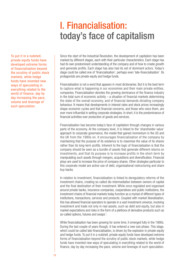# I. Financialisation: today's face of capitalism

To put it in a nutshell, private equity funds have developed extreme forms of financialisation beyond the scrutiny of public stock markets, while hedge funds have invented new ways of speculating in everything related to the world of finance, day by day increasing the pace, volume and leverage of such speculation.

Since the start of the Industrial Revolution, the development of capitalism has been marked by different stages, each with their particular characteristics. Each stage has had its own predominant understanding of the company and of how to create growth and generate profits. Each stage has also had its set of dominant actors. Today's stage could be called one of 'financialisation', perhaps even 'late-financialisation'. Its protagonists are private equity and hedge funds.

Financialisation is not a word that appears in most dictionaries. But it is the best term to capture what is happening in our economies and their main private entities, companies. Financialisation denotes the growing dominance of the finance industry in the total sum of economic activity – a situation of financial markets determining the state of the overall economy, and of financial demands dictating company behaviour. It means that developments in interest rates and stock prices increasingly shape economic cycles and that financial concerns, and those who voice them, are ever more influential in setting corporate strategies. In short, it is the predominance of financial activities over production of goods and services.

Financialisation has become today's face of capitalism through changes in various parts of the economy. At the company level, it is linked to the 'shareholder value' approach to corporate governance, the model that gained momentum in the US and the UK from the 1980s on. It encourages financialisation of the company by maintaining that the purpose of its existence is to maximise the value of its shares rather than its long-term profits. Inherent to the logic of financialisation is that the company should be seen as a bundle of assets that generate different returns on investments, and that its purpose is to increase profits in the short-term by manipulating such assets through mergers, acquisitions and diversification. Financial ploys are used to increase the price of company shares. Other strategies particular to this corporate model are active use of debt, organisational restructuring and share buy-backs.

In relation to investment, financialisation is linked to deregulatory reforms of the investment chains, creating so-called dis-intermediation between owners of capital and the final destination of their investment. While once regulated and organised around private banks, insurance companies, cooperatives and public institutions, the investment chains of financial markets today function as a myriad of different types of institutions, transactions, services and products. Coupled with market liberalisation, this has allowed financial operators to operate in a vast investment universe, involving investment and trade not only in real assets, such as debt and equity, but also in market expectations and risks in the form of a plethora of derivative products such as so-called options, futures and swaps<sup>1</sup>.

While financialisation has been growing for some time, it emerged fully in the 1990s. During the last couple of years though, it has entered a new sub-phase. This stage, which could be called late-financialisation, is driven by the explosion in private equity and hedge funds. To put it in a nutshell, private equity funds have developed extreme forms of financialisation beyond the scrutiny of public stock markets, while hedge funds have invented new ways of speculating in everything related to the world of finance, day by day increasing the pace, volume and leverage of such speculation.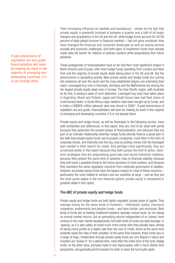If past phenomena of capitalism are any guide, financialisation will soon be making its mark in the majority of emerging and developing countries, if it is not already there.

Their increasing influence on markets and workplaces – shown by the fact that private equity is presently involved in between a quarter and a half of all major mergers and acquisitions in the US and the UK, while hedge funds account for 30-60 percent of daily global turnover in financial markets – has not gone unnoticed: they have changed the financial and corporate landscape as well as posing serious societal and economic challenges. And both types of investment funds have already made daily life harder for millions of ordinary workers while jeopardising their future pensions.

These protagonists of financialisation have so far had their most significant impact in North America and Europe, with most hedge funds operating from London and New York and the majority of private equity deals taking place in the US and UK. But the phenomenon is spreading quickly. New private equity and hedge funds are coming into existence all over the world and the long established players are extending their reach. Leveraged buy-outs in Denmark, Germany and the Netherlands are among the ten largest private equity deals ever in Europe. The Asia-Pacific region, with Australia as its hub, is seeing a wave of such takeovers. Leveraged buy-outs have taken place in Argentina, Brazil and Poland. Japan and South Korea have had their share of controversial deals, in South Africa major retailers have been bought up by funds, and in India a US\$900 million takeover deal was struck in 2006 2. If past phenomena of capitalism are any guide, financialisation will soon be making its mark in the majority of emerging and developing countries, if it is not already there.

Private equity and hedge funds, as will be illustrated in the following section, have both similarities and differences. In this report, they are, first of all, dealt with jointly because they epitomise the present phase of financialisation, and because they are part of an intimate relationship whereby hedge funds directly finance a great part of the debt that private equity funds use to acquire companies, most often in the form of corporate bonds, and indirectly fuel the buy-outs by putting money into the leveraged loan market in their search for yields. And perhaps most significantly, they are scrutinized jointly in this report because they both pursue the kind of active, shortterm strategies that are jeopardising good jobs and sound industrial relations, because they present the same kind of systemic risks to financial stability, because they both pose a possible threat to the future pensions of most workers, and because they represent the same regulatory concerns from corporate governance to taxation. However, as private equity funds have the largest impact on most of these concerns – particularly the ones related to workers and our societies at large – and as they are the most active player in the non-financial sphere, private equity is considered in greatest detail in this report.

# The ABC of private equity and hedge funds

Private equity and hedge funds are both lightly regulated, private pools of capital. They manage money for the same kinds of investors – individuals, banks, insurance companies, endowments and pension funds – and have similar cost structures. Both kinds of funds aim at beating traditional investors, typically mutual funds, by not relying on normal market returns, but on generating returns independent of or, indeed, even contrary to the main market developments. And both kinds of funds use debt leverage, or 'gearing' as it is also called, to invest much more money than they actually have, aiming at taking home profits at a higher rate than the cost of credit, which at the same time evidently raises the risks of their activities. At the same time however, these funds vary in a range of ways. Investments through private equity funds are very illiquid in nature and investors are 'locked in' for a defined time, most often the entire term of the fund. Hedge funds, on the other hand, primarily invest in very liquid assets, with a much shorter time perspective, and generally permit investors to enter or leave the fund quite easily.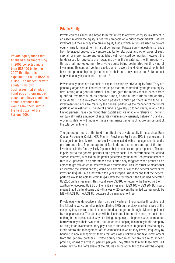Private equity funds that finalised their fundraising in 2006 collected more than US\$400 billion. In 2007 this figure is expected to rise to US\$500 billion. The biggest private equity firms own businesses that employ hundreds of thousands of people and have combined annual revenues that would rank them within the first dozen of the Fortune 500.

### Private Equity

Private equity, as such, is a broad term that refers to any type of equity investment in an asset in which the equity is not freely tradable on a public stock market. Passive investors put their money into private equity funds, which in turn are used by private equity firms for investment in target companies. Private equity investments range from leveraged buy-outs to venture capital for start-ups and other types of seed capital for more mature and established yet non-listed companies. However, the funds raised for buy-outs are nowadays by far the greater part, with around two thirds of all money going into private equity being designated for this kind of investment. By contrast, venture capital, which covers the kinds of investments that have entrepreneurship and job-creation at their core, only account for 5-10 percent of private equity investments at present 3.

Private equity funds are the pools of capital invested by private equity firms. They are generally organised as limited partnerships that are controlled by the private equity firm, acting as a general partner. The fund gets the money that it invests from qualified investors such as pension funds, financial institutions and wealthy individuals. These investors become passive, limited partners in the fund. All investment decisions are made by the general partner, as the manager of the fund's portfolio of investments. The life of a fund is typically up to ten years, in which the limited partners have committed their capital and are unable to retrieve it. The fund will typically make a number of separate investments – generally between 15 and 25 – over its lifetime, with none of these investments being much above ten percent of the total commitments.

The general partners of the fund  $-$  in effect the private equity firms such as Bain Capital, Blackstone, Carlyle, KKR, Permira, Providence Equity and TPG, to name some of the largest and best-known – are usually compensated with a management fee and a performance fee. The management fee is defined as a percentage of the total investments in the fund, typically 2 percent but in some cases up to 4 percent. This fee is paid out to the general partners on a yearly basis. The performance fee, called 'carried interest', is based on the profits generated by the fund. The present standard rate is 20 percent. The performance fee is often only triggered when profits hit an agreed target rate of return, referred to as a 'hurdle rate'. This fee structure means that an investor, the limited partner, would typically pay US\$20 to the general partners for investing US\$100 in a fund with a ten year lifespan. And it means that the general partners would be able to retain US\$40 after the ten years if the fund had generated US\$200 on its investment. This would leave US\$160 of return to the limited partner, in addition to recouping US\$ 80 of their initial investment (US\$ 100 – US\$ 20). But it also means that if the fund came out with a loss of 20 percent the limited partner would be left with US\$ 60, not US\$ 80, because of the management fee.

Private equity funds receive a return on their investment in companies through one of the following ways: an initial public offering (IPO) on the stock market; a sale of the company they control, often to another fund; a merger; or through dividends paid out by recapitalisations. The latter, as will be illustrated later in this report, is most often nothing but a sophisticated way of milking companies. It happens when compantes borrow money in their own name, but rather than keeping this money in the company or using it for investments, they pay it out to shareholders. In general, private equity funds control the management of the companies in which they invest, frequently by bringing in new management teams that are closely linked to and take direct orders from the general partners. Private equity companies generally aim at, indeed promise, returns of above 20 percent per year. They often fail to meet these aims. But when they do, the lion's share of the returns can be attributed to the way the original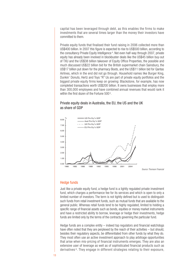capital has been leveraged through debt, as this enables the firms to make investments that are several times larger than the money their investors have committed to them.

Private equity funds that finalised their fund raising in 2006 collected more than US\$400 billion. In 2007 this figure is expected to rise to US\$500 billion, according to the consultancy Private Equity Intelligence 4. Not even half-way through 2007, private equity has already been involved in blockbuster deals like the US\$45 billion buy-out of TXU and the US\$38 billion takeover of Equity Office Properties, the possible and much discussed US\$22 billion bid for the British supermarket chain Sainsbury, the US\$17 billion put down for the pharmacy Boots, and the US\$11 billion bid for Qantas Airlines, which in the end did not go through. Household names like Burger King, Dunkin' Donuts, Hertz and Toys "R" Us are part of private equity portfolios and the biggest private equity firms keep on growing: Blackstone, for example, has now completed transactions worth US\$200 billion. It owns businesses that employ more than 300,000 employees and have combined annual revenues that would rank it within the first dozen of the Fortune 500<sup>5</sup>.

### Private equity deals in Australia, the EU, the US and the UK as share of GDP



Source: Thomson Financial

#### Hedge funds

Just like a private equity fund, a hedge fund is a lightly regulated private investment fund, which charges a performance fee for its services and which is open to only a limited number of investors. The term is not tightly defined but is used to distinguish such funds from retail investment funds, such as mutual funds that are available to the general public. Whereas retail funds tend to be highly regulated, limited to holding a specific range of financial assets such as bonds, equities or money market instruments and have a restricted ability to borrow, leverage or hedge their investments, hedge funds are limited only by the terms of the contracts governing the particular fund.

Hedge funds are a complex entity – indeed top regulators and financial watchdogs have often noted that they are perplexed by the reach of their activities – but should, besides their regulatory aspects, be differentiated from other funds by what they do. They most often use an active investment approach to play arbitrage opportunities that arise when mis-pricing of financial instruments emerges. They are also an extensive user of leverage as well as of sophisticated financial products such as derivatives 6. They engage in different strategies relating to their exposure,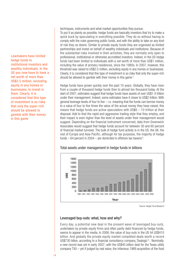Lawmakers have limited hedge funds to institutional investors and wealthy individuals. In the US you now have to have a net worth of more than US\$2.5 million, excluding equity in any homes or businesses, to invest in them. Clearly, it is considered that this type of investment is so risky that only the super-rich should be allowed to gamble with their money in this game

techniques, instruments and what market opportunities they pursue.

To put it as plainly as possible, hedge funds are basically investors that try to make a quick buck by speculating in everything possible. They do so without having to comply with the rules governing public funds, and with the ability to take on any kind of risk they so desire. Similar to private equity funds they are organised as limited partnerships and invest on behalf of wealthy individuals and institutions. Because of the substantial risks involved in their activities, they are normally only open to professional, institutional or otherwise accredited investors. Indeed, in the US hedge funds had been limited to individuals with a net worth of more than US\$1 million, including the value of primary residences, since the 1980s. In 2007, however, this threshold was raised to US\$2.5 million, excluding equity in any homes or businesses. Clearly, it is considered that this type of investment is so risky that only the super-rich should be allowed to gamble with their money in this game 7.

Hedge funds have grown quickly over the past 10 years. Globally, they have risen from a couple of thousand hedge funds then to almost ten thousand today. At the start of 2007, estimates suggest that hedge funds have assets of over US\$1.4 trillion under their management. Indeed, some estimates have it closer to US\$2 trillion. With general leverage levels of four to five – i.e. meaning that the funds can borrow money to a value of four to five times the value of the actual money they have raised, this means that hedge funds are active speculators with US\$6 – 10 trillion at their disposal. Add to that the rapid and aggressive trading style that they employ, and their impact is even higher than the level of assets under their management would suggest. Depending on the financial instrument concerned, data from Greenwich Associates would suggest that hedge funds account for between 30 and 60 percent of financial market turnover. The bulk of hedge fund activity is in the US, the UK, the rest of Europe and Asia-Pacific, although for tax purposes, the majority of hedge funds – 64 percent in 2004 – are domiciled in offshore tax havens<sup>8</sup>.



#### Total assets under management in hedge funds in billions

Source: Hedge Fund Research

### Leveraged buy-outs: what, how and why?

Every day, a potential new deal in the present wave of leveraged buy-outs, undertaken by private equity firms and often partly debt-financed by hedge funds, seems to appear in the media. In 2006, the value of buy-outs in the US hit US\$410 billion. And globally the private equity market completed deals worth a record US\$730 billon, according to a financial consultancy company, Dealogic 9. Nominally, a new record was set in early 2007, with the US\$45 billion deal for the Texas utility company TXU – yet if judged by real value, the infamous 1989 acquisition of the food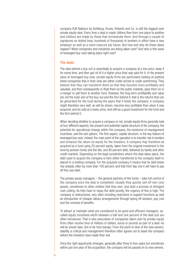company RJR Nabisco by Kohlberg, Kravis, Roberts and Co. is still the biggest ever private equity deal. Every time a deal is made, billions flow from one place to another and millions are made by those that orchestrate them. And through a couple of signatures on dotted lines, hundreds of thousands of workers in effect have a new employer as well as a more insecure job future. But how and why do these deals happen? What companies and industries are being taken over? And why is this wave of leveraged buy-outs taking place right now?

#### The deals

The idea behind a buy-out is essentially to acquire a company at a low price, keep it for some time, and then get rid of it a higher price than was paid for it. In the present wave of leveraged buy-outs, private equity firms are particularly looking at publicly listed companies that in their view are either under-priced or under-performing. They believe that they can transform them so that they become more profitable and valuable, and then subsequently re-float them on the public markets, pass them on in a merger or sell them to another fund. However, the long-term profitability and value are not the main aim of the buy-out and the firm behind it: that is the returns that can be generated for the fund during the years that it holds the company. A company might therefore very well, as will be shown, become less profitable than when it was acquired, and be sold at a lower price, and still be a good investment for the fund and the firm behind it.

When deciding whether to acquire a company or not, private equity firms generally look at four different aspects: the present and potential capital structure of the company, the potential for operational change within the company, the existence of management incentives, and the exit options. The first aspect, capital structure, is the key feature of leveraged buy-outs. Indeed, the main point of the operation is to transfer risk to lenders and enhance the return on equity for the investors. A company may therefore be acquired by a fund using 20 percent equity, taken from the original investment in the fund by pension funds and the like, and 80 percent debt, delivered by banks and other credit markets. Depending on the legal jurisdictions where the deal takes place, the debt used to acquire the company is then either transferred to the company itself or placed in a holding company. For the acquired company it means that its debt levels rise sharply, often by more than 100 percent, and that from day one it will have to pay off this new debt.

The private equity managers  $-$  the general partners of the funds  $-$  take full control of the company once the deal is completed. Usually they quickly sell off non-core assets, sometimes to other entities that they own, and start a process of stringent cost-cutting. As they have to repay the debt quickly, the urgency of this is high. The company is restructured, very often including reductions in support functions as well as introduction of cheaper labour arrangements through laying off workers, pay cuts and the removal of benefits.

To attract or maintain what are considered to be good and efficient managers, socalled equity incentives worth between a half and one percent of the deal size are often introduced. That is why executives of companies taken over by private equity firms often receive tens of millions of dollars, euros or pounds as part of a deal. As will be shown later, this is far from benign. From the point of view of the new owners, stability is critical and management therefore often agrees not to leave the company before the investors have made their exit.

Once the right opportunity emerges, generally after three to four years but sometimes within just one year of the acquisition, the company will be passed on to new owners.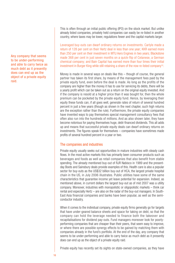Any company that seems to be under-performing and able to carry twice as much debt as it presently does can end up as the object of a private equity raid.

This is often through an initial public offering (IPO) on the stock market. But unlike already listed companies, privately held companies can easily be re-listed in another country, where taxes may be lower, regulations fewer and the capital markets larger.

Leveraged buy-outs can dwarf ordinary returns on investments. Carlyle made a return of 128 per cent on their Hertz deal in less than one year; KKR earned more than 250 per cent on their investment in MTU Aero Engines in two years; Blackstone made 368 per cent in just seven months on a quick-flip of Celanese, a German chemical company; and Bain Capital has earned more than four times their initial investment in Burger King while still retaining a share of the now re-listed company<sup>10</sup>.

Money is made in several ways on deals like this – though of course, the general partner has taken its first share, by means of the management fees paid by the private equity fund, even before the deal is made. As long as the profits of the company are higher than the money it has to use for servicing its debts, there will be a yearly profit which can be taken out as a return on the original equity invested. And if the company is resold at a higher price than it was bought for, then the whole premium can be pocketed by the private equity fund. Hence, by leveraging their equity these funds can, if all goes well, generate rates of return of several hundred percent in just a few years (though as shown in the next chapter, such high returns are the exception rather than the rule). Furthermore, the private equity companies have invented ways to pay themselves special management consultancy fees that often also run into the hundreds of millions. And as also shown later, they have become notorious for paying themselves huge, debt-financed dividends. This all adds up and means that successful private equity deals can dwarf ordinary returns on investments. The figures speak for themselves – companies have sometimes made profits of several hundred percent in a year or two.

#### The companies and industries

Private equity usually seeks out opportunities in mature industries with steady cash flows. In the most active markets this has primarily been consumer products such as beverages and foods as well as retail companies that also benefit from stable spending. The already mentioned buy-out of RJR Nabisco in 1989 and the presentday Boots and Sainsbury deals provide examples of this. Health care is also a popular sector for buy-outs as the US\$32 billion buy-out of HCA, the largest private hospital chain in the US, in July 2006 illustrates. Public utilities have some of the same characteristics that guarantee income yet leave potential for expansion. Indeed, as mentioned above, in current dollars the largest buy-out as of mid 2007 was a utility company. Moreover, industries with monopolistic or oligopolistic markets – think car rental and especially Hertz – are also on the radar of the buy-out managers. In South-East Asia financial companies and banks have been popular, as well as the semiconductor industry.

When it comes to the individual company, private equity firms generally go for targets that have under-geared balance sheets and space for taking on debt, so that the company can hold the leverage needed to finance both the takeover and recapitalisations for dividend pay-outs. Fund managers moreover look for poorlyperforming companies that are cheaper than their peers, that seem easy to improve, or where there are possible synergy effects to be gained by matching them with companies already in the fund's portfolio. At the end of the day, any company that seems to be under-performing and able to carry twice as much debt as it presently does can end up as the object of a private equity raid.

Private equity has recently set its sights on state-owned companies, as they have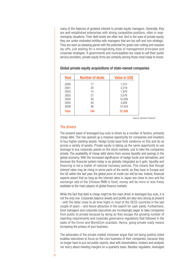many of the features of greatest interest to private equity managers. Generally, they are well-established enterprises with strong competitive positions, often in nearmonopoly situations. Their debt levels are often low. And in the eyes of private equity, they are under-motivated entities with managers that are too soft and non-strategic. They are seen as sleeping giants with the potential for great cost-cutting and massive lay-offs, just waiting for a reinvigorating dose of management principles and corporate strategies. If governments and municipalities are ready to sell their public service providers, private equity firms are certainly among those most ready to invest.

| Year         | <b>Number of deals</b> | <b>Value in US\$</b> |
|--------------|------------------------|----------------------|
| 2000         | 17                     | 1,515                |
| 2001<br>2002 | 20<br>14               | 2,219<br>1.976       |
| 2003<br>2004 | 27<br>30               | 3,078<br>10,269      |
| 2005<br>2006 | 40<br>46               | 3,928<br>14.324      |
| <b>Total</b> | 194                    | 37,309               |
|              |                        |                      |

#### Global private equity acquisitions of state-owned companies

Source: Thomson Financial

#### The drivers

The present wave of leveraged buy-outs is driven by a number of factors, primarily cheap debt. This has opened up a massive opportunity for companies and investors to buy higher-yielding assets. Hedge funds base their existence on this and do so across a variety of assets. Private equity is taking up the same opportunity to use leverage to buy corporate assets on the stock markets, just to take the companies private. The availability of cheap debt stems from excess liquidity and savings in the global economy. With the increased significance of hedge funds and derivatives, and because the financial system today is as globally integrated as it gets, liquidity and financing is not a matter of national monetary policies. This means that though interest rates may be rising in some parts of the world, as they have in Europe and the US within the last year, the global price of credit can still be low. Indeed, financial experts assert that as long as the interest rates in Japan are close to zero and the exchange rate of the Chinese RMB is fixed, money will be more or less freely available to the main players of global finance markets.

While the fact that debt is cheap might be the main driver in leveraged buy-outs, it is not the only one. Corporate balance sheets and profits are also very strong at present – with the latter close to all-time highs in most of the OECD countries in the last couple of years – and hence attractive in the search for cash yields. Furthermore, fund managers and corporate executives are increasingly eager to take companies from public to private because by doing so they escape the growing number of reporting requirements and corporate governance regulations that followed in the wake of the Enron and WorldCom scandals. Hence, going private really means increasing the privacy of your business.

The advocates of the private market moreover argue that not being publicly listed enables executives to focus on the core business of their companies, because they no longer have to put out public reports, deal with shareholders, brokers and analysts nor worry about meeting margins on a quarterly basis. Besides regulation, leveraged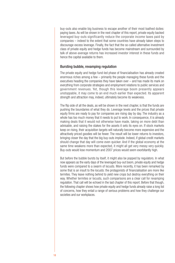buy-outs also enable big business to escape another of their most loathed duties: paying taxes. As will be shown in the next chapter of this report, private equity backed leveraged buy-outs significantly reduce the corporate income taxes paid by companies – indeed to the extent that some countries have already taken steps to discourage excess leverage. Finally, the fact that the so-called alternative investment class of private equity and hedge funds has become mainstream and surrounded by talk of above-average returns has increased investor interest in these funds and hence the capital available to them.

### Bursting bubble, revamping regulation

The private equity and hedge fund-led phase of financialisation has already created enormous riches among a few – primarily the people managing these funds and the executives heading the companies they have taken over – and has made its mark on everything from corporate strategies and employment relations to public services and government revenues. Yet, though this leverage boom presently appears unstoppable, it may come to an end much earlier than expected. Its apparent strength and attraction may, indeed, ultimately become its weakness.

The flip side of all the deals, as will be shown in the next chapter, is that the funds are pushing the boundaries of what they do. Leverage levels and the prices that private equity firms are ready to pay for companies are rising day by day. The industry as a whole has too much money that it needs to put to work. In consequence, it is already making deals that it would not otherwise have made, taking on more debt than advisable, and raising the stakes for the assets it sets its eyes on. If stock markets keep on rising, their acquisition targets will naturally become more expensive and the attractively priced goodies will be fewer. The result will be lower returns to investors, bringing closer the day that the big buy-outs implode. Indeed, if global credit markets should change that day will come even quicker. And if the global economy at the same time weakens more than expected, it might all get very messy very quickly. Buy-outs would lose momentum and 2007 prices would seem exorbitantly high.

But before the bubble bursts by itself, it might also be popped by regulators. In what now appears as the early days of the leveraged buy-out boom, private equity and hedge funds were compared to a swarm of locusts. More recently, it has been remarked by some that is an insult to the locusts: the protagonists of financialisation are more like termites. They leave nothing behind to yield new crops but destroy everything on their way. Whether termites or locusts, such comparisons are a clear call for revamping regulation. That call will be echoed in the last chapter of this report. Before that though, the following chapter shows how private equity and hedge funds already raise a long list of concerns, how they entail a range of serious problems and how they challenge our societies and our workplaces.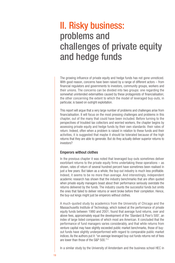# II. Risky business: problems and challenges of private equity and hedge funds

The growing influence of private equity and hedge funds has not gone unnoticed. With good reason, concerns have been raised by a range of different actors – from financial regulators and governments to investors, community groups, workers and their unions. The concerns can be divided into two groups: one regarding the somewhat unintended externalities caused by these protagonists of financialisation; the other concerning the extent to which the model of leveraged buy-outs, in particular, is based on outright exploitation.

This report will argue that a very large number of problems and challenges arise from financialisation. It will focus on the most pressing challenges and problems in this chapter, out of the many that could have been included. Before turning to the perspectives of troubled tax collectors and worried workers, the chapter begins by assessing private equity and hedge funds by their own standards: their rates of return. Indeed, often when a problem is raised in relation to these funds and their activities, it is suggested that maybe it should be tolerated because of the high returns that they are able to generate. But do they actually deliver superior returns to investors?

#### Emperors without clothes

In the previous chapter it was noted that leveraged buy-outs sometimes deliver exorbitant returns to the private equity firms undertaking these operations – as shown, rates of return of several hundred percent have sometimes been realised in just a few years. But taken as a whole, the buy-out industry is much less profitable. Indeed, it seems to be no more than average. And interestingly, independent academic research has shown that the industry benchmarks that are often quoted when private equity managers boast about their performance seriously overstate the returns delivered by the funds. The industry counts the successful funds but omits the ones that failed to deliver returns or went broke before their completion. Hence, the buy-out kings might just be emperors without clothes.

A much-quoted study by academics from the University of Chicago and the Massachusetts Institute of Technology, which looked at the performance of private equity funds between 1980 and 2001, found that average fund returns, over and above fees, approximately equal the development of the 'Standard & Poor's 500', an index of large listed companies of which most are American. It concluded that the performance of fund managers varies considerably, and that while returns from venture capital may have slightly exceeded public market benchmarks, those of buyout funds have slightly underperformed with regard to comparable public market indices. As the authors put it: "on average leveraged buy-out funds returns net of fees are lower than those of the S&P 500."11

In a similar study by the University of Amsterdam and the business school HEC in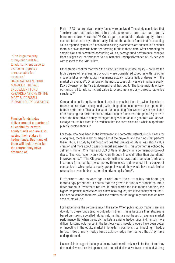"The large majority of buy-out funds fail to add sufficient value to overcome a grossly unreasonable fee structure." DAVID SWENSEN, FUND MANAGER, THE YALE ENDOWMENT FUND, REGARDED AS ONE OF THE MOST SUCCESSFUL PRIVATE EQUITY INVESTORS

Pension funds today deliver around a quarter of all capital for private equity funds and are also raising their stakes in hedge funds. But many of them will look in vain for the returns they have dreamed of.

Paris, 1328 mature private equity funds were analysed. This study concluded that "performance estimates found in previous research and used as industry benchmarks are overstated."12 Once again, spectacular private equity returns seemed to be more myth than reality. Indeed, the authors found that "accounting values reported by mature funds for non-exiting investments are substantial" and that there is a "bias towards better performing funds in these data. After correcting for sample bias and overstated accounting values, average fund performance changes from a slight over-performance to a substantial underperformance of 3% per year with respect to the S&P 500"13.

Other studies confirm that when the particular risks of private equity – not least the high degree of leverage in buy-outs – are considered together with its other characteristics, private equity investments actually substantially under-perform the market on average<sup>14</sup>. Or as one of the most successful investors in private equity, David Swensen of the Yale Endowment Fund, has put it: "The large majority of buyout funds fail to add sufficient value to overcome a grossly unreasonable fee structure."15

Compared to public equity and bond funds, it seems that there is a wide dispersion in returns across private equity funds, with a huge difference between the top and the bottom performers. This is also what the consulting firm Watson Wyatt concluded after studying the performance of private equity funds over the past 25 years: in short, the best private equity managers may well be able to generate well-aboveaverage returns but there is no evidence that the asset class as a whole outperforms publicly-quoted shares.16

For those who have been in the investment and corporate restructuring business for a long time, there is really no magic about the buy-outs and the funds that perform them. Thus, a study by Citigroup argues that private equity is less about value creation and more about classic financial engineering. This argument is echoed by Jeffrey R. Immelt, Chairman and CEO of General Electric, in a comment on buy-out deals: "The vast majority only add value through financial rather than operational improvements."<sup>17</sup> The Citigroup study further shows that if pension funds and insurance firms had borrowed money themselves and invested it in a basket of companies in which private equity groups invested, they would have made higher returns than even the best-performing private equity firms<sup>18</sup>.

Furthermore, and as warnings in relation to the current buy-out boom get increasingly prominent, it seems that the growth in fund size translates into a deterioration in investment returns. In other words the less money handled, the higher the profits; in private equity, a new book argues, size is the enemy of returns<sup>19</sup>. One has to wonder, therefore, what the returns on the mega buy-outs that we have seen of late will be.

For hedge funds the picture is much the same. When public equity markets are in a downturn, these funds tend to outperform them. This is because their strategy is based on making so-called 'alpha' returns that are not based on average market performance. But when the public markets are rising, hedge funds find it much more difficult to stand out. Hence, in the last four years investors would have been better off investing in the equity market in long-term positions than investing in hedge funds. Indeed, many hedge funds acknowledge themselves that they have underperformed.

It seems fair to suggest that a great many investors will look in vain for the returns they dreamed of when they first approached a so-called alternative investment fund. As long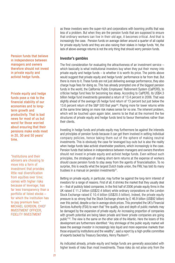Pension funds that believe in independence between managers and owners therefore should not invest in private equity and activist hedge funds.

#### Private equity and hedge funds pose a risk to the financial stability of our economies and to longterm growth and productivity. That is bad news for most of us but worst for those worried about ensuring that their pensions make ends meet in 20, 30 and 50 years' time.

"Institutions and their advisers are choosing to move into a form of investment that provides little real diversification from equities over time; comes with higher risks because of leverage; has far less transparency than a portfolio of listed stocks – for which the institution has to pay premium fees." MICHAEL GORDON, CHIEF INVESTMENT OFFICER, FIDELITY INVESTMENT

as these investors were the super-rich and corporations with booming profits that was less of a problem. But when they are the pension funds that are supposed to ensure that ordinary workers can live in their old age, it becomes critical. And that is increasingly the case. Pension funds on average deliver around a quarter of all capital for private equity funds and they are also raising their stakes in hedge funds. Yet, the lack of above-average returns is not the only thing that should worry pension funds.

#### Investor's gambles

The first consideration for evaluating the attractiveness of an investment service – which basically is what institutional investors buy when they put their money into private equity and hedge funds – is whether it is worth its price. The points above would suggest that private equity and hedge funds' performance is far from that. But there is more to it. These funds are not just delivering average performance, they also charge huge fees for doing so. This has already prompted one of the biggest pension funds in the world, the California Public Employees' Retirement System (CalPERS), to criticise hedge fund fees for becoming too steep. According to CalPERS, its US\$4.3 billion hedge fund investments generated a return of 13.4 percent in 2006. That was slightly ahead of the average US hedge fund return of 13 percent but just below the 13.6 percent return of the S&P 500 that year<sup>20</sup>. Paying more for lower returns while at the same time taking on more risk makes sense for no one. The inherent problem, which will be touched upon again later, seems to be that at the moment the fee structures of private equity and hedge funds tend to favour themselves rather than their clients.

Investing in hedge funds and private equity may furthermore be against the interests and principles of pension funds because it can get them involved in setting individual company policies, hence taking them out of the sphere of making neutral investments. This is obviously the case for leveraged buy-outs but is also the reality when hedge funds take activist shareholder positions, which increasingly is the case. Pension funds that believe in independence between managers and owners therefore should not invest in private equity and activist hedge funds. Even without such principles, the strategies of making short-term returns at the expense of workers should cause pension funds to stay away from the agents of financialisation. To no surprise, this is exactly what the largest Dutch trade union, the FNV, has told its many trustees in a manual on pension investments<sup>21</sup>.

Betting on private equity, in particular, may further be against the long-term interest of investors for a range of reasons. First of all, it shrinks the market that they usually deal in – that of publicly listed companies. In the first half of 2006 private equity firms in the UK raised £ 11.2 billion (US\$22.4 billion) while ordinary corporations on the London Stock Exchange raised  $£ 10.4$  billion (US\$20.5 billion). Indeed, the private equity pressure is so strong that the Stock Exchange shrank by £ 46.9 billion (US\$92 billion) over this period, despite a rise in average stock prices. This prompted the UK's Financial Services Authority (FSA) to warn that "the quality, size and depth of public markets may be damaged by the expansion of private equity. An increasing proportion of companies with growth potential are being taken private and fewer private companies are going public"22. The view is the same on the other side of the Atlantic. Here the losers of this development are furthermore identified: "Any shrinkage of the public equity market will leave the average investor in increasingly less liquid and more expensive markets than those enjoyed by institutions and the wealthy", said a report by a high-profile committee of experts backed by Treasury Secretary, Henry Paulson<sup>23</sup>.

As indicated already, private equity and hedge funds are generally associated with higher levels of risks than most investments. These risks do not arise only from the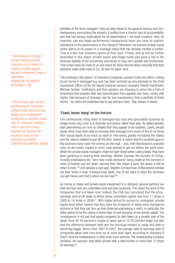"The default of a large private equity backed company or a cluster of smaller private equity backed companies seems inevitable." FINANCIAL SERVICES AUTHORITY, UK

"The increasingly similar positioning of individual hedge funds within broad hedge fund investment strategies is another major risk for financial stability which warrants close monitoring despite the essential lack of any possible remedies." EUROPEAN CENTRAL BANK activities of the fund managers; they are also linked to the general secrecy and nontransparency surrounding the industry. It suffers from a chronic lack of accountability, and that has serious implications for all stakeholders – not least investors. How, for example, can you make performance comparisons when you have no realistic indications of the performance of the industry? Moreover, the present private equity boom seems to be based on a leverage mania that has already created a bubble. That is a fact that investors ignore at their peril. Finally, and as will be further illustrated in this report, private equity and hedge funds also pose a risk to the financial stability of our economies and hence to long-term growth and productivity. That is bad news for most of us, and worst for those worried about ensuring that their pensions make ends meet in 20, 30 and 50 years' time.

This prolonged 'silly season' of insurance companies, pension funds and others rushing to put money in leveraged buy-outs has been summed up very precisely by the Chief Investment Officer of the US-based financial services company Fidelity Investment, Michael Gordon: 'institutions and their advisers are choosing to move into a form of investment that provides little real diversification from equities over time; comes with higher risks because of leverage; has far less transparency than a portfolio of listed stocks – for which the institution has to pay premium fees'. Silly, indeed, it seems.

### 'Crash, boom, bang' on the horizon

The continuously rising wave of leveraged buy-outs and speculative activities by hedge funds may come to a dramatic end sooner rather than later. As stated already, both phenomena are now so inflated that they appear to be bubbles. Lately, private equity firms have been able to increase their leverage from levels of five to six times their actual equity to as much as eight or nine times, greatly increasing the stakes and the returns needed to pay off the debt. Indeed, it seems that the smartest guys in the business have seen the writing on the wall – and, with Blackstone's possible entry on the public market in mind, have started to get out before the party ends. While the private equity managers might be tight-fisted when cutting deals, they have been generous in sharing their warnings: William Conway, the founder of Carlyle, recently emphasised the "very risky credit decisions" being made at the moment in order to finance buy-out deals, warning that "the longer it lasts, the worse it will be when it ends."<sup>25</sup> And already a year ago, Stephen Schwarzman of Blackstone pointed out that "when it ends, it always ends badly. One of the signs is when the dummies can get money and that's where we are now"26.

As money is cheap and private equity investment is in demand, general partners are bold and buy-outs are undertaken less and less cautiously. This raises the price of the companies that are taken over. Indeed, the FSA has calculated that the priceearnings ratio of UK deals to which banks committed capital rose from 11 times in 2005 to 14 times in 2006 27. With higher prices for access to companies, private equity must either believe that they have the prospects of doing more managerial alchemy or that they can turn up their financial engineering a notch. In particular, the latter seems to be the choice in these days of vast amounts of low-priced capital. The consequence is not just that equity compared to debt takes up a smaller part of the deals, from 30-40 percent a couple of years ago to 10-20 percent today, but also that the difference between debt and the earnings needed to repay this debt is becoming bigger. Hence from 2001 to 2007, the average debt to earnings ratio of companies taken over rose from six to more than eight, according to Standard & Poor's. And the indebtedness is often even more extreme. The broadcasting company Univision, for example, was taken private with a debt burden of more than 12 times its earnings 28.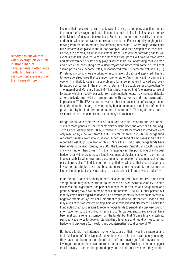History has shown that when leverage plays a role in strong market developments it often ends badly. And history may very well once again prove that it repeats itself.

It seems that the current private equity wave is driving up company valuations and so the amount of leverage required to finance the deals. In itself this increases the risk of individual defaults and bankruptcies. But it also creates more volatility in markets and poses widespread systemic risks and concerns. Excess liquidity might just be moving from market to market, first affecting real estate – where major corrections have already taken place, in the US for example – and then companies (or 'equities', as they are generally called in investment jargon). The cost of borrowing capital will eventually adjust upwards. When this happens asset prices will have to move down and most leveraged private equity players will be in trouble. Addressing both leverage and prices, the consulting firm Watson Wyatt has noted with some distress that "some prices have become totally disconnected from fundamental valuations (…) Private equity companies are taking on record levels of debt and easy credit has led to leverage structures that are incomprehensible. Any significant hiccup in the economy is likely to cause major problems for a few privately financed and overleveraged companies. In the short term, returns will probably suffer a correction."<sup>29</sup> The International Monetary Fund (IMF) has similarly noted that "the increased use of leverage, which is readily available from debt markets today, may increase defaults among private equity/LBO transactions, with economic and macroprudential implications."30 The FSA has further warned that the present use of leverage means that "the default of a large private equity backed company or a cluster of smaller private equity backed companies seems inevitable."31 That again may lead to systemic trouble and complicated bail-outs by central banks.

Hedge funds pose their own set of risks both to their investors and to financial stability more generally. That became very evident when the American fund Long-Term Capital Management (LTCM) crashed in 1998. Its investors and creditors were only rescued by a bail-out from the US Federal Reserve. In 2006, the hedge fund Amaranth similarly went into liquidation. A pension fund of employees in San Diego reportedly lost US\$105 million on this 32. Since the LTCM crash, hedge funds have been under increased scrutiny. In 2006, the European Central Bank (ECB) issued a stark warning on their threats: "... the increasingly similar positioning of individual hedge funds within broad hedge fund investment strategies is another major risk for financial stability which warrants close monitoring despite the essential lack of any possible remedies. This risk is further magnified by evidence that broad hedge fund investment strategies have also become increasingly correlated, thereby further increasing the potential adverse effects of disorderly exits from crowded trades."33

In its Global Financial Stability Report released in April 2007, the IMF noted that "hedge funds may also contribute to increased or even extreme volatility in some instances" and highlighted "the potential impact that the failure of a hedge fund (or a group of funds) may have on major banks and brokers". The IMF further pointed out that "systemic risks regarding hedge fund activities primarily concern their potentially negative effects on systemically important regulated counterparties. Hedge funds may also act as transmitters or amplifiers of shocks initiated elsewhere." Finally, the Fund noted that "suggestions to require hedge funds to periodically disclose position information (e.g., to the public, investors, counterparties, and/or supervisors) have been met with strong resistance from the funds" but that "from a financial stability perspective, efforts to develop standardized leverage and liquidity measures for hedge fund disclosure (to investors and counterparties) could be useful."34

But hedge funds merit attention not only because of their investing strategies and their facilitation of other types of market behaviour. Like the private equity industry, they have also become significant users of debt leverage. And they are set to leverage their operations even more in the near future. Broking estimates suggest that for every 1 percent hedge funds pay out to their final investors, they need to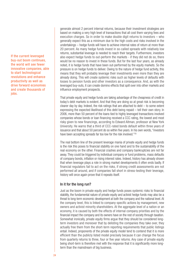If the current leveraged buy-out boom continues, the world will see fewer innovative companies, able to start technological revolutions and enhance productivity as well as drive forward economies and create thousands of iobs.

generate almost 2 percent internal returns, because their investment strategies are based on making a very high level of transactions that all cost them varying fees and execution charges. So in order to make double digit returns to investors – who generally expect this as a minimum due to the high costs and risks involved in the undertakings – hedge funds will have to achieve internal rates of return at more than 20 percent. As many hedge funds invest in so-called spreads with relatively low returns, substantial leverage is needed to reach their targets. Furthermore, investors also expect hedge funds to out-perform the markets - if they did not do so, there would be no reason to invest in these funds. But for the last four years, as already noted, it is hedge funds that have been out-performed by the equity markets. So the pressure is on hedge funds to deliver. Owing to the nature of hedge fund activity, this means that they will probably leverage their investments even more than they are already doing. This will create systemic risks such as higher levels of defaults with losses to pension funds and other investors as a consequence. And, as with the leveraged buy-outs, it can create domino effects that spill over into other markets and influence employment prospects.

That private equity and hedge funds are taking advantage of the cheapness of credit in today's debt markets is evident. And that they are doing so at great risk is becoming clearer day by day. Indeed, the risk ratings that are attached to debt  $-$  to some extent expressing the expected likelihood of this debt being repaid – tell their own story. In 2006, more than 50 percent of the loans tied to highly leveraged transactions involved companies whose bonds or loan financing received a CCC rating, the lowest and most risky given to new financings, according to Edward Altman, professor at New York University. He warns that a third of CCC-rated bonds default within three years of issuance and that about 50 percent do so within five years. In his own words, "investors have been accepting spreads far too low for the risk involved."35

The real bottom line of the present leverage mania of private equity and hedge funds is the risk this poses to financial stability on one hand and to the sustainability of the real economy on the other. Financial crashes and company bankruptcies are not far away. They could be triggered by individual company or fund problems, mass defaults of company bonds, inflation or rising interest rates. Indeed, history has already shown that when leverage plays a role in strong market developments it often ends badly. If financial regulators fail to act on the risks, if strong credit assessments are not performed all around, and if companies fall short in stress-testing their leverage, history will once again prove that it repeats itself.

# In it for the long run?

Just as the boom in private equity and hedge funds poses systemic risks to financial stability, the fundamental nature of private equity and activist hedge funds may also be a threat to long-term economic development at both the company and the national level. At the company level, this is linked to company-specific actions by management, new owners and activist minority shareholders. At the aggregate level of a nation or an economy, it is caused by both the effects of internal company priorities and by the financial impact the company and its owners have on the rest of society through taxation. Somewhat ironically, private equity firms argue that they should be considered longterm investors and moreover that by delisting the companies they take over, they actually free them from the short-term reporting requirements that public listings entail. Indeed, proponents of the private equity model tend to contend that it is more efficient than the publicly listed model precisely because it can change the focus from quarterly returns to three, four or five year returns. Any case of private equity being short-term is therefore met with the response that it is significantly more longterm than the mainstream of big business.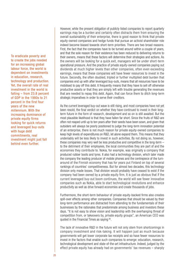To eradicate poverty and to create the jobs needed for an increasing global labour force, the world is dependent on investments in education, research, technology and production. Yet, the overall rate of real investment in the world is falling – from 23.8 percent of GDP in the 1980s to 21 percent in the first four years of the new millennium. With the increasing dominance of private equity firms looking for quick returns and leveraged buy-outs with huge debt commitments, real investment might just fall behind even further.

However, while the present obligation of publicly listed companies to report quarterly earnings may be a burden and certainly often distracts them from ensuring the overall sustainability of their enterprise, there is good reason to think that private equity-owned companies and hedge funds that pursue an activist shareholder role indeed become biased towards short-term priorities. There are two broad reasons. First, the fact that the companies have to be turned around within a couple of years, and that the sole reason for their existence has been reduced to delivering returns to their owners, means that these factors will determine their strategies and actions. As the owners will be looking for a quick exit, managers will be under short-term operational pressure. And the practice of private equity-owned companies paying out dividends at much higher levels than other companies, often even exceeding earnings, means that these companies will have fewer resources to invest in the future. Secondly, the often doubled, tripled or further multiplied debt burden that companies end up with after leveraged buy-outs, means that all resources have to be mobilised to pay off this debt. It frequently means that they have to sell off otherwise productive assets or that they are simply left with trouble generating the revenues that are needed to repay this debt. Again, that can force them to ditch long-term strategic imperatives in order to serve their creditors.

As the current leveraged buy-out wave is still rising, and most companies have not yet been resold, the final verdict on whether they have continued to invest in their longterm future in the form of research, development and so on is still awaited. But the most plausible likelihood is that they have fallen far short. Since the fruits of R&D are often not reaped until up to ten years after their seeds have been sown, and given that outsiders will always be poorly positioned to judge the long-term innovation potential of an enterprise, there is not much reason for private equity-owned companies to keep high levels of expenditures on R&D, let alone expand them. This means that they undeniably will be less likely to invest in such activities. By not doing so, however, these companies may very well be less productive and competitive in the long-term – to the detriment of their employees, the local communities they are part of and the economies they contribute to. Nokia, for example, was originally a company that produced rubber boots and tyres. It also had a technology division, which later made the company the leading producer of mobile phones and the centrepiece of the turnaround of the Finnish economy that has for years put Finland on top of several rankings of countries' competitiveness. But for almost two decades, this technology division only made losses. That division would probably have ceased to exist if the company had been owned by a private equity firm. It is just as obvious that if the current leveraged buy-out boom continues, the world will see fewer innovative companies such as Nokia, able to start technological revolutions and enhance productivity as well as drive forward economies and create thousands of jobs.

Furthermore, the short-term behaviour of private equity-backed firms also creates spill-over effects among other companies. Companies that should be valued by their long-term performance are distracted from attending to the fundamentals of their businesses by the rationales that predominate among business and investors these days. "It is not easy to show vision and leadership with the overhanging threat of competition from, or takeovers by, private equity groups", an American CEO was quoted in the Financial Times as saying 36.

The lack of innovative R&D in the future will not only stem from shortcomings in company investment and risk-taking. It will happen just as much because governments will get lower corporate tax receipts and so have fewer resources to invest in the factors that enable such companies to emerge: education, research, technological development and state-of-the-art infrastructure. Indeed, judged by the effect private equity has already had on governments' tax revenues – sharply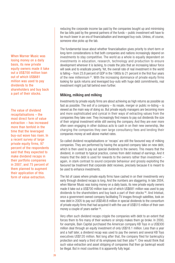When Warner Music was losing money on a daily basis, its new private equity owners made it take out a US\$700 million loan out of which US\$681 million was used to pay dividends to the shareholders and buy back a part of their stocks.

The value of dividend recapitalisations – the most direct form of value extraction – has increased more than tenfold in the time that the leveraged buy-out wave has risen. In a recent survey of large private equity firms, 97 percent of the respondents said that they expected to make dividend recaps in their portfolio companies in 2007, and 75 percent of them planned to augment their application of this form of value extraction.

reducing the corporate income tax paid by the companies bought up and minimising the tax bills paid by the general partners of the funds – public investment will have to be much lower in an era of financialisation and leveraged buy-outs. Unless, of course, someone else picks up the tab.

The fundamental issue about whether financialisation gives priority to short-term or long-term considerations is that both companies and nations increasingly depend on investments to stay competitive. The world as a whole is equally dependent on investments in education, research, technology and production to ensure development wherever it is lacking, to create the jobs that an increasing labour force will seek and to eradicate poverty. Yet, the overall rate of real investment in the world is falling – from 23.8 percent of GDP in the 1980s to 21 percent in the first four years of the new millennium <sup>37</sup>. With the increasing dominance of private equity firms looking for quick returns and leveraged buy-outs with huge debt commitments, real investment might just fall behind even further.

# Milking, milking and milking

Investments by private equity firms are about achieving as high returns as possible as fast as possible. The exit of a company  $-$  its resale, merger or public re-listing  $-$  is viewed as the main way of doing so. But private equity managers are becoming more and more sophisticated and cynical in their ways of extracting values from the companies they take over. They increasingly find means to pay out dividends the size of their original investment while still owning the company. And they are ever more often seen engaging in other dubious acts to cash in on their new ownership, like charging the companies they own large consultancy fees and lending their companies money at well above market rates.

So-called dividend recapitalisations or 'recaps' are still the favoured way of milking companies. They are performed by having the acquired company take on new debt, which is then used to pay out special dividends to the owners. This means that the dividend, in contrast to typical practice, comes from debt instead of earnings. And it means that the debt is used for rewards to the owners rather than investment – again, in stark contrast to sound corporate behaviour and grossly exploiting the favoured tax treatment that corporate debt receives, precisely because it is meant to be used to enhance investments.

The list of cases where private equity firms have cashed in on their investments very early through dividend recaps is long. And the numbers are staggering. In late 2004, when Warner Music was losing money on a daily basis, its new private equity owners made it take out a US\$700 million loan out of which US\$681 million was used to pay dividends to the shareholders and buy back a part of their stocks 38. And Intelsat, once a government-owned company facilitating TV images through satellites, took on new debt in 2005 to pay out US\$548.8 million in special dividends to the consortium of private equity firms that had acquired it with the use of US\$515 million of their own money a couple of years earlier 39.

Very often such dividend recaps cripple the companies with debt to an extent that forces them to fire many of their workers or simply makes them go broke. In 2000, for example, Bain Capital purchased the American company KB Toys in a US\$300 million deal through an equity investment of only US\$18.1 million. Less than a year and a half later, a dividend recap was used to pay the owners and several KB Toys executives US\$120 million. Not long after that, the company filed for bankruptcy protection and nearly a third of its employees lost their jobs 40. One would think that such value extraction and asset stripping of companies that then go bankrupt would be illegal. But in most countries it is apparently fully legal.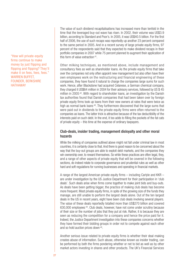"How will private-equity firms continue to make money by just flipping and flipping and flipping? They'll make it on fees, fees, fees." WARREN BUFFET, FOUNDER, BERKSHIRE HATHAWAY

The value of such dividend recapitalisations has increased more than tenfold in the time that the leveraged buy-out wave has risen. In 2002, their volume was US\$3.9 billion, according to Standard and Poor's. In 2005, it was US\$40.5 billion. For the first half of 2006, the use of such recaps was reportedly up another 23 percent compared to the same period in 2005. And in a recent survey of large private equity firms, 97 percent of the respondents said that they expected to make dividend recaps in their portfolio companies in 2007 while 75 percent planned to augment their application of this form of value extraction 41.

Other milking techniques, as mentioned above, include management and consultancy fees as well as shareholder loans. As the private equity firms that take over the companies not only often appoint new management but also often have their own employees work on the restructuring and financial engineering of these companies, they have found it natural to charge the companies large sums for such work. Hence, after Blackstone had acquired Celanese, a German chemical company, they charged it US\$64 million in 2004 for their advisory services, followed by US \$ 45 million in 2005 42. With regard to shareholder loans, an investigation by the Danish tax authorities found that Danish companies that had been taken over by foreign private equity firms took up loans from their new owners at rates that were twice as high as normal bank loans 43. They furthermore discovered that the large sums that were paid out in dividends to the private equity firms were often returned to the companies as loans. The latter trick is attractive because of the tax deductibility of the interests paid on such debt. In the end, it too adds to filling the pockets of the fat cats of private equity – this time at the expense of ordinary taxpayers.

# Club-deals, insider trading, management disloyalty and other moral hazards

While the milking of companies outlined above might not fall under criminal law in most countries, it is certainly close to that. And there is good reason to be concerned about the way that the buy-out groups are able to exploit debt markets, and the companies they win ownership over, to reward themselves. So while these practices are often legal, they, and a range of other aspects of private equity that will be covered in the following sections, do indeed relate to corporate governance and prudential rules as well as other hard and soft regulations for running businesses and operating in financial markets.

A range of the largest American private equity firms – including Carlyle and KKR – are under investigation by the US Justice Department for their participation in 'club deals'. Such deals arise when firms come together to make joint bids and buy-outs. As deals have been getting bigger, the practice of making club deals has become more frequent. Most private equity firms, in spite of the growing size of the funds they manage, are still unable to perform the largest deals alone. Out of the ten largest deals in the US in recent years, eight have been club deals involving several players. The value of these deals reportedly totalled more than US\$270 billion and covered 630,000 employees 44. Club deals, however, have not come under scrutiny because of their size or the number of jobs that they put at risk. Rather, it is because they are seen as reducing the competition for a company and hence the price paid for it. Indeed, the Justice Department investigation into these companies concerns whether they have formed their bidding groups in order not to compete against each other and so hold auction prices down 45.

Another serious issue related to private equity firms is whether their deal-making creates abuse of information. Such abuse, otherwise known as insider trading, can be performed by both the firms pondering whether or not to bid as well as by other market actors investing in shares and other products. The UK's Financial Services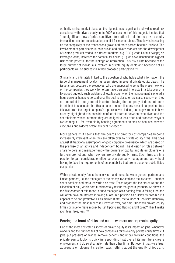Authority ranked market abuse as the highest, most significant and widespread risk associated with private equity in its 2006 assessment of this subject. It noted that "the significant flow of price sensitive information in relation to private equity transactions creates considerable potential for market abuse. This flow is increasing as the complexity of the transactions grows and more parties become involved. The involvement of participants in both public and private markets and the development of related products traded in different markets, e.g. CDS (Credit Default Swaps) on leveraged loans, increases the potential for abuse. (…) we have identified the biggest risk as the potential for the leakage of information. This risk exists because of the large number of individuals involved in private equity deals and because not all participants will be successful in their proposed participation."46

Similarly, and intimately linked to the question of who holds what information, the issue of management loyalty has been raised in several private equity deals. The issue arises because the executives, who are supposed to serve the present owners of the companies they work for, often have personal interests in a takeover or a leveraged buy-out. Such problems of loyalty occur when the management is offered a huge personal bonus to be paid once the deal is closed or, as is also seen, when they are included in the group of investors buying the company. It does not seem farfetched to speculate that this is done to neutralise any possible opposition to a takeover from the target company's top executives. Indeed, some governments have already highlighted this possible conflict of interest between executives and the shareholders whose interests they are obliged to look after, and proposed ways of overcoming it – for example by banning agreements on stay-on bonuses between executives and bidders before any deal is closed 47.

More generally, it seems that the boards of directors of companies become increasingly irrelevant when they are taken over by private equity firms. This goes against all traditional assumptions of good corporate governance, which are based on the premise of an active and independent board. The division of roles between shareholders and management  $-$  the owners of capital and its employers  $-$  is furthermore fictional when owners are private equity firms. Such firms are in a position to gain considerable influence over company management, but without having to face the requirements of accountability that are in place for public listed companies.

Within private equity funds themselves – and hence between general partners and limited partners, i.e. the managers of the money invested and the investors – another set of conflicts and moral hazards also exist. These regard the fee structure and the allocation of risk, which both fundamentally favour the general partners. As shown in the first chapter of this report, a fund manager loses nothing from a failing fund and will often have an interest in taking a loss in a position as quickly as possible if it appears to be non-profitable. Or as Warren Buffet, the founder of Berkshire Hathaway and probably the most successful investor ever, has said: "How will private-equity firms continue to make money by just flipping and flipping and flipping? They'll make it on fees, fees, fees."48

#### Bearing the brunt of risks and cuts – workers under private equity

One of the most contested aspects of private equity is its impact on jobs. Whenever workers and their unions tell of how companies taken over by private equity firms cut jobs, put pressure on wages, remove benefits and impair working conditions, the private equity lobby is quick in responding that overall its members create employment and do so at a faster rate than other firms. But even if that were true, aggregate employment creation says nothing about the quality of jobs and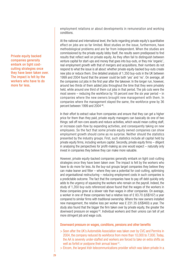Private equity backed companies generally embark on tight costcutting strategies once they have been taken over. The impact is felt by the workers who have to do more for less.

employment relations or about developments in remuneration and working conditions.

At the national and international level, the facts regarding private equity's quantitative effect on jobs are so far limited. Most studies on the issue, furthermore, have methodological problems and are far from independent. When the studies are commissioned by the private equity lobby itself, the results seem predisposed to find results that reflect well on private equity. As they often fail to distinguish between venture capital for start-ups and money that goes into buy-outs, or they mix 'organic', real employment growth with that of mergers and acquisitions, their numbers do not respond to what the issue is all about: whether private equity-backed buy-outs create new jobs or reduce them. One detailed analysis of 1,350 buy-outs in the UK between 1999 and 2004 found that the answer could be both 'yes' and 'no'. On average, all the companies cut jobs in the first year after the takeover. In the longer run, however, around two thirds of them added jobs throughout the time that they were privately held, while around one third of them cut jobs in that period. The job cuts were the most severe – reducing the workforce by 18 percent over the six year period – in companies where the new owners brought new management with them. In companies where the management stayed the same, the workforce grew by 36 percent between 1999 and 2004 49.

In their effort to extract value from companies and ensure that they can get a higher price for them than they paid, private equity managers can basically do one of two things: sell off non-core assets and reduce activities, which would mean cutting staff, or increase cash-flow by expanding activities, and consequently taking on new employees. So the fact that some private equity owned companies can show employment growth should come as no surprise. Neither should the statistics presented by the industry groups. First, such statistics include all capital held by private equity firms, including venture capital. Secondly, private equity firms – diligent in analysing the perspectives for profit-making as one would expect – naturally only invest in companies they believe they can make more valuable.

However, private equity-backed companies generally embark on tight cost-cutting strategies once they have been taken over. The impact is felt by the workers who have to do more for less. As the buy-out groups target companies they believe they can make leaner and fitter – where they see a potential for cost-cutting, optimising and organisational restructuring – reducing employment costs in such companies is a predictable outcome. The fact that the companies have to pay off debt quickly only adds to the urgency of squeezing the workers who remain on the payroll. Indeed, the study of 1,350 buy-outs referenced above found that the wages of the workers in these companies grew at a slower rate than wages in other companies. On average, a worker in one of these companies had a relative loss of £ 83.70 (US\$167) a year compared to similar firms with traditional ownership. Where the new owners installed new management, the relative loss per worker was £ 231.35 (US\$460) a year. The study also found that the bigger the firm taken over by private equity, the greater the downward pressure on wages <sup>50</sup>. Individual workers and their unions can tell of yet more stringent job and wage cuts.

Downward pressure on wages, conditions, pensions and other benefits

- > Soon after the UK's Automobile Association was taken over by CVC and Permira in 2004, the company reduced its workforce from more than 10,000 to 7,000. Today, the AA is severely under-staffed and workers are forced to take on extra shifts as well as forfeit or postpone their annual leave <sup>51</sup>.
- > Eircom, the largest Irish telecommunications provider which was taken private in a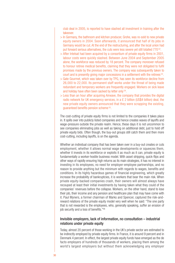club deal in 2005, is reported to have slashed all investment in training after the takeover.

- > In Germany, the bathroom and kitchen producer, Grohe, was re-sold to new private equity owners in 2004. Soon afterwards, it announced that half of its jobs in Germany would be cut. At the end of the restructuring, and after the local union had put forward serious alternatives, the cuts were less severe yet still totalled 770<sup>52</sup>.
- > After Intelsat had been acquired by a consortium of private equity firms in 2001, labour costs were quickly slashed. Between June 2004 and September 2005 alone, the workforce was reduced by 18 percent. The company moreover refused to honour retiree medical benefits, claiming that they were not obligated to fulfil promises made by the previous owners. The company was subsequently taken to court and is presently giving major concessions in a settlement with the retirees <sup>53</sup>.
- > Gate Gourmet, which was taken over by TPG, has seen its workforce decline from 26,000 to 22,000. Its permanent staff works under the threat of being made redundant and temporary workers are frequently engaged. Workers on sick leave and holiday have often been sacked by letter only 54.
- > Less than an hour after acquiring Airwave, the company that provides the digital radio network for UK emergency services, in a £ 2 billion (US\$4 billion) deal, the new private equity owners announced that they were scrapping the existing, guaranteed benefits pension scheme 55.

The cost-cutting of private equity firms is not limited to the companies it takes place in. It spills over into publicly listed companies and hence creates waves of layoffs and wage-pressure outside the private realm. Hence, these days it is not uncommon to see companies eliminating jobs as well as taking on additional debt, just to hold off private equity bids. Often though, the buy-out groups still catch them and then more cost-cutting, including layoffs, is on the agenda.

Whether an individual company that has been taken over in a buy-out creates or cuts employment, whether it allows normal wage developments or squeezes them, whether it invests in its workforce or exploits it as much as it can, private equity is fundamentally a worker-hostile business model. With asset stripping, quick-flips and other ways of rapidly ensuring high returns as its main strategies, it has no interest in investing in its employees, no need for employer-employee partnerships, and no reason to provide anything but the minimum with regards to wages, benefits and conditions. In its highly hazardous games of financial engineering, which greatly increase the probability of bankruptcies, it is workers that bear the main risk. When private equity-backed companies crash, their owners will almost always have recouped at least their initial investments by having taken what they could of the companies' revenues before the collapse. Workers, on the other hand, stand to lose their job, their income and any pension and healthcare plan that may have come with it. Paul Myners, a former chairman of Marks and Spencer, captured the risk-andreward relations of the private equity model very well when he said: "The one party that is not rewarded is the employees, who, generally speaking, suffer an erosion of job security and a loss of benefits."56

#### Invisible employers, lack of information, no consultation – industrial relations under private equity

Today, almost 20 percent of those working in the UK's private sector are estimated to be indirectly employed by private equity firms. In France, it is around 9 percent and in Denmark 4 percent. In effect, the largest private equity funds have emerged as the de facto employers of hundreds of thousands of workers, placing them among the world's largest employers but without them acknowledging any employer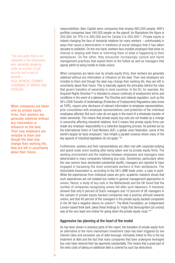"The one party that is not rewarded is the employees, who, generally speaking. suffer an erosion of job security and a loss of benefits." PAUL MYNERS, FORMER CHAIRMAN OF MARKS AND SPENCER

When companies are taken over by private equity firms, their workers are generally sidelined without any information or influence on the deal. Their new employers are invisible to them and though the deal may change their working life, they are left in uncertainty about their future.

responsibilities. Bain Capital owns companies that employ 662,000 people, KKR's portfolio companies have 540,000 people on the payroll, for Blackstone the figure is 350,000, for TPG it is 300,000 and for Carlyle it is 200,000 57. Private equity is indeed changing the face of industrial relations for many workers – unfortunately in ways that cause a deterioration in traditions of social dialogue that it has taken decades to establish. On the one hand, workers face invisible employers that show no interest in dealing with them or informing them of what is happening to their workplaces. On the other, they encounter increasingly cynical and harsh management practices that exploit them to the fullest as well as managers that openly admit to being hostile to trade unions.

When companies are taken over by private equity firms, their workers are generally sidelined without any information or influence on the deal. Their new employers are invisible to them and though the deal may change their working life, they are left in uncertainty about their future. This is basically against the principles behind the rules that govern transfers of ownership in most countries. In the EU, for example, the Acquired Rights Directive <sup>58</sup> is intended to ensure continuity of employment terms and conditions in the event of a takeover. The Directive and national regulation, such as the UK's 2006 Transfer of Undertakings (Protection of Employment) Regulations (also know as TUPE), require prior disclosure of relevant information to employee representatives, prior consultation with employee representatives, and protection of the individual employees affected. But such rules do not apply in the event of a wholesale transfer of share ownership. This means that private equity buy-outs are not treated as a change in ownership affecting industrial relations. And it means that private equity firms can evade any employer responsibility in a collective bargaining process. As pointed out by the International Union of Food Workers (IUF), a global union federation, some of the world's largest de facto employers "now inhabit a parallel universe where many of the key aspects of industrial legislation do not apply." <sup>59</sup>

Furthermore, workers and their representatives are often met with corporate bullying and grand-scale union-busting after being taken over by private equity firms. The working environment and the relations between employees and managers have deteriorated in many companies following buy-outs. Sometimes, particularly when the new owners have demanded substantial layoffs, managers are reported to have engaged in harassing the most vulnerable workers in their workplaces. The Automobile Association is, according to the UK's GMB trade union, a case in point. While the experiences from individual cases are grim, academic research shows that such experiences are not isolated but rooted in general management approaches to unions. Hence, a study of buy-outs in the Netherlands and the UK found that the number of companies recognising unions fell after such takeovers. It moreover showed that only 6 percent of Dutch managers and 10 percent of UK managers in the sample of private equity-backed companies had a positive attitude towards unions, and that 40 percent of the managers in the private equity-backed companies in the UK had a negative stance on unions  $60$ . The Work Foundation, an independent London-based think tank, takes these findings to "imply that derecognition [of unions] was at the very least one motive for going down the private equity route."<sup>61</sup>

### Aggressive tax planning at the heart of the model

As has been shown in previous parts of this report, the transition of private equity from an alternative to the more mainstream investment class has been triggered by low interest rates and excessive use of debt leverage. Intimately linked to this is the tax treatment of debt and the fact that many companies that have undergone leveraged buy-outs have reduced their tax payments substantially. This means that a great part of the extra costs of taking on additional debt is covered by such tax deductions.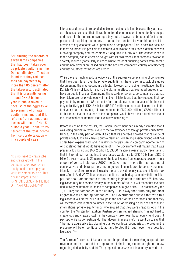Scrutinizing the records of seven large companies that had been taken over by private equity firms, the Danish Ministry of Taxation found that they reduced their tax payments by more than 85 percent after the takeovers. It estimated that it is presently losing around DKK 2 billion a year in public revenue because of the aggressive tax planning of private equity firms, and that if it refrains from acting, these losses will rise to DKK 15 billion a year  $-$  equal to 25 percent of the total income from corporate taxation – in a couple of years.

"It is not hard to create jobs and create growth, if the company taken over by an equity fund doesn't pay tax, while its competitors do. That doesn't impress me." KRISTIAN JENSEN, MINISTER OF TAXATION, DENMARK

Interests paid on debt are tax deductible in most jurisdictions because they are seen as a business expense that allows the enterprise in question to operate, hire people and invest in the future. In leveraged buy-outs, however, debt is used for the sole purpose of acquiring a company – that is, the transfer of ownership and not the creation of any economic value, production or employment. This is possible because in most countries it is possible to establish joint taxation or tax consolidation between a holding company and the company it acquires in a buy-out. The consequence is that a company can in effect be bought with its own money, that company taxation is severely reduced (particularly in cases where the debt financing comes from abroad and the new owners are based outside the acquired company's country of residence) and that countries' tax bases are eroded.

While there is much anecdotal evidence of the aggressive tax planning of companies that have been taken over by private equity firms, there is so far a lack of studies documenting the macroeconomic effects. However, an ongoing investigation by the Danish Ministry of Taxation shows the alarming effect that leveraged buy-outs can have on public finances. Scrutinizing the records of seven large companies that had been taken over by private equity firms, the ministry found that they reduced their tax payments by more than 85 percent after the takeovers. In the year of the buy-out they collectively paid DKK 2.4 billion (US\$420 million) in corporate income tax. In the first year after the buy-out, this was reduced to DKK 400 million (US\$70 million). It further found that at least one of the companies would have a tax refund because of the increased debt interests that it was now servicing <sup>62</sup>.

Before releasing these results, the Danish Government had already estimated that it was losing crucial tax revenue due to the tax avoidance of foreign private equity firms. Hence, in the early part of 2007 it said that its analyses showed that "a range of private equity funds are carrying out tax planning with an aggression beyond what has so far been experienced, and in reality do not pay Danish company income tax." 63 And it stated that it would have none of it. The Government estimated that it was presently losing around DKK 2 billion (US\$350 million) a year in public revenue and that if it refrained from acting, these losses would rise to DKK 15 billion (US\$2.6 billion) a year – equal to 25 percent of the total income from corporate taxation – in a couple of years. In January 2007, the Government – one that is made up of conservative and liberal parties, and in general is considered to be very business friendly – therefore proposed legislation to curb private equity's abuse of Danish tax rules. And in April 2007, it announced that it had reached agreement with its coalition partner about amendments to the existing legislation in this area 64. The new legislation may be adopted already in the summer of 2007. It will mean that the debt deductibility of interests is limited to companies of a given size  $-$  in practice only the 1,000 largest companies in the country – in a way that hurts only the most aggressive tax planning companies. The Government believes that with this legislation it will hit the buy-out groups in the heart of their operations and that they will therefore look to other countries in the future. Addressing a group of national and international private equity funds who argued that they were creating jobs in the country, the Minster for Taxation, Kristian Jensen, replied sharply: "It is not hard to create jobs and create growth, if the company taken over by an equity fund doesn't pay tax, while its competitors do. That doesn't impress me". He went on to say that "the more aggressive tax planning pushes our legal boundaries, the greater the pressure will be on politicians to act and to stop it through ever more detailed legislation."65

The German Government has also noted the problem of diminishing corporate tax revenues and has started the preparation of similar legislation to tighten the law regarding deductibility of debt. The proposal underway in this country is said to be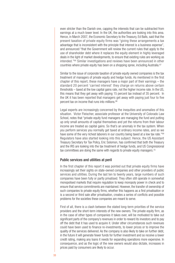even stricter than the Danish one, capping the interests that can be subtracted from earnings at a much lower level. In the UK, the authorities are looking into this area. Hence, in March 2007, the Economic Secretary to the Treasury, Ed Balls, said that the present taxation of private equity firms was "giving these arrangements a tax advantage that is inconsistent with the principle that interest is a business expense", and announced "that the Government will review the current rules that apply to the use of shareholder debt where it replaces the equity element in highly leveraged deals in the light of market developments, to ensure that existing rules are working as intended."66 Similar investigations and reviews have been announced in other countries where private equity has been on a shopping spree, including Australia.<sup>67</sup>

Similar to the issue of corporate taxation of private equity owned companies is the tax treatment of managers of private equity and hedge funds. As mentioned in the first chapter of this report, these managers have a major part of their earnings – the standard 20 percent 'carried interest' they charge on returns above certain thresholds – taxed at the low capital gains rate, not the higher income rate. In the US, this means that they get away with paying 15 percent tax instead of 35 percent. In the UK it has been reported that managers get away with paying just four to five percent tax on income that runs into millions.68

Legal experts are increasingly concerned by the inequities and anomalies of this situation. Victor Fleischer, associate professor at the University of Colorado Law School, notes that "private equity fund managers are managing the fund and putting up only small amounts of capital themselves and yet the returns from their labour income are treated as capital gains. So that's an anomaly in the tax system. When you perform services you normally get taxed at ordinary income rates, and so we have some of the very richest laborers in our country being taxed at a low tax rate."<sup>69</sup> Regulators have also started looking into this subject. Hence, the US Assistant Treasury Secretary for Tax Policy, Eric Solomon, has confirmed that both the Treasury and the IRS are looking into the tax treatment of hedge funds, and US Congressional tax committees are doing the same with regards to private equity managers.<sup>70</sup>

#### Public services and utilities at peril

In the first chapter of this report it was pointed out that private equity firms have increasingly set their sights on state-owned companies and other providers of public services and utilities. During the last ten to twenty years, large numbers of such companies have been fully or partly privatised. They often still operate in somewhat monopolised markets that require regulation to keep monopoly power in check and to ensure that service commitments are maintained. However, the transfer of ownership of such companies to private equity firms, whether this happens as a first privatisation or is a second or third sale after privatisation, creates a series of conflicts and possible problems for the societies these companies are meant to serve.

First of all, there is a clash between the stated long-term priorities of the service providers and the short-term interests of the new owners. The private equity firm, as in the case of other types of companies it takes over, will be motivated to take out significant parts of the company's revenues in order to reward its investors and to pay off the debt that it has used to acquire it. Under other circumstances such revenues could have been used to finance re-investments, to lower prices or to improve the quality of the services delivered. As the company is also likely to take on further debt, in the future it will generate fewer funds for further investment and so receive a lower credit rating, making any loans it needs for expanding operations more expensive. In consequence, and as the logic of the new owners would also dictate, increases in prices paid by consumers are likely to occur.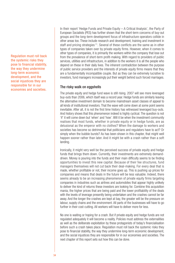Regulation must roll back the systemic risks they pose to financial stability, the way they undermine long-term economic development, and the social injustices they are responsible for in our economies and societies.

In their report 'Hedge Funds and Private Equity – A Critical Analysis', the Party of European Socialists (PES) has further shown that the short-term concerns of buy-out groups and the long-term development focus of infrastructure operators collide in other areas too. These include research and development, training and investment in staff and pricing strategies  $71$ . Several of these conflicts are the same as in other types of companies taken over by private equity firms. However, when it comes to other types of companies, it is primarily the workers within the company that lose out from the prevalence of short-term profit-making. With regard to providers of public services, utilities and infrastructure, in addition to the workers it is all the people who depend on these in their daily lives. The inherent contradiction between the purpose of public service providers and the interests of private equity firms means that they are a fundamentally incompatible couple. But as they can be extremely lucrative to investors, fund managers increasingly put their weight behind such forced marriages.

### The risky walk on eggshells

The private equity and hedge fund wave is still rising. 2007 will see more leveraged buy-outs than 2006, which itself was a record year. Hedge funds are similarly leaving the alternative investment domain to become mainstream asset classes of appeal to all kinds of institutional investors. That the wave will come down at some point seems inevitable. After all, it is not the first time history has witnessed leveraged buy-outs. And history shows that this phenomenon indeed is highly cyclical. The question is not 'if' it will come down but 'when' and 'how'. Will it be when the investment community realises that most funds, whether in private equity or in hedge funds, are as delusional as the emperor with no clothes? When the damage to workers and societies has become so detrimental that politicians and regulators have to act? Or simply when the bubble bursts? As has been shown in this chapter, that might well happen sooner rather than later. And it might be with a crash rather than a soft landing.

Ironically, it might very well be the perceived success of private equity and hedge funds that brings them down. Currently, their investments are extremely demanddriven. Money is pouring into the funds and their main difficulty seems to be finding opportunities to invest this new capital. Because of their fee structures, fund managers themselves will not cut back their deal-making. For every deal that is made, whether profitable or not, their income goes up. This is pushing up prices for companies and means that deals in the future will be less valuable. Indeed, there seems already to be an increasing phenomenon of private equity firms targeting companies in industries such as airlines and automobiles that appear highly unlikely to deliver the kind of returns these investors are looking for. Combine this acquisition mania, the higher prices that are being paid and the lower profitability of the deals with the levels of leverage presently being undertaken and the crashes cannot be far away. And the longer the crashes are kept at bay, the greater will be the pressure on labour, supply chains and the environment. All parts of the businesses will have to go further in their cost-cutting. All workers will have to deliver more for less.

No one is waiting or hoping for a crash. But if private equity and hedge funds are not regulated adequately it will become a reality. Policies must address the externalities as well as the deliberate exploitation by these protagonists of today's financialisation before such a crash takes place. Regulation must roll back the systemic risks they pose to financial stability, the way they undermine long-term economic development, and the social injustices they are responsible for in our economies and societies. The next chapter of this report sets out how this can be done.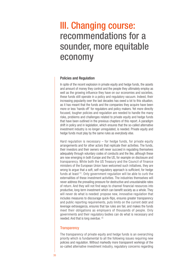# III. Changing course: recommendations for a sounder, more equitable economy

#### Policies and Regulation

In spite of the recent explosion in private equity and hedge funds, the assets and amount of money they control and the people they ultimately employ as well as the growing influence they have on our economies and societies, these funds still operate in a policy and regulatory vacuum. Indeed, their increasing popularity over the last decades has owed a lot to this situation, as it has meant that the funds and the companies they acquire have been more or less 'hands off' for regulators and policy makers. Yet more directly focused, tougher policies and regulation are needed to handle the many risks, problems and challenges related to private equity and hedge funds that have been outlined in the previous chapters of this report. A paradigm shift in policy and in legislation, which ensures that the so-called alternative investment industry is no longer unregulated, is needed. Private equity and hedge funds must play by the same rules as everybody else.

Hard regulation is necessary – for hedge funds, for private equity arrangements and for other actors that replicate their activities. The funds, their investors and their owners will never succeed in regulating themselves adequately through voluntary codes of conducts and the like, although these are now emerging in both Europe and the US, for example on disclosure and transparency. While both the US Treasury and the Council of finance ministers of the European Union have welcomed such initiatives, they are wrong to argue that a soft, self-regulatory approach is sufficient, for hedge funds at least<sup>72</sup>. Only government regulation will be able to curb the externalities of these investment activities. The industries themselves will never address the prevailing pressure for destructive and unsustainable rates of return. And they will not find ways to channel financial resources into productive, long-term investment which can benefit society as a whole. They will never do what is needed: propose new, innovative regulation that includes measures to discourage quick-flips, ensures greater transparency and public reporting requirements, puts limits on the current debt and leverage extravaganza, ensures that tax rules are fair, and makes the funds meet their obligations as employers of thousands of people. Only governments and their regulatory bodies can do what is necessary and needed. And that is long overdue. <sup>73</sup>

#### **Transparency**

The transparency of private equity and hedge funds is an overarching priority which is fundamental to all the following issues requiring new policies and regulation. Without markedly more transparent workings of the so-called alternative investment industry, regulatory concerns regarding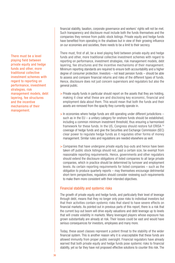There must be a level playing field between private equity and hedge funds and other, more traditional collective investment schemes with regard to reporting on performance, investment strategies, risk management models, debt layering, fee structures and the incentive mechanisms of their management.

financial stability, taxation, corporate governance and workers' rights will not be met. Such transparency and disclosure must include both the funds themselves and the companies they remove from public stock listings. Private equity and hedge funds have benefited from operating in the shadows but in view of their growing influence on our economies and societies, there needs to be a limit to their secrecy.

There must, first of all, be a level playing field between private equity and hedge funds and other, more traditional collective investment schemes with regard to reporting on performance, investment strategies, risk management models, debt layering, fee structures and the incentive mechanisms of their management. Minimum reporting standards are required to ensure both accountability and a higher degree of consumer protection. Investors – not least pension funds – should be able to assess and compare financial returns and risks of the different types of funds. Hence, disclosure does not just concern supervisors and regulators but also the general public.

- > Private equity funds in particular should report on the assets that they are holding, making it clear what these are and disclosing key economic, financial and employment data about them. This would mean that both the funds and their assets are removed from the opacity they currently operate in.
- > In economies where hedge funds are still operating under different jurisdictions such as in the  $EU - a$  unitary category for onshore funds should be established, including a common minimum investment threshold, thus ensuring a harmonised framework for these funds. In the US, Congress should restore full ERISA<sup>74</sup> coverage of hedge funds and give the Securities and Exchange Commission (SEC) clear power to regulate hedge funds as it regulates other forms of money management. Similar rules and regulations are needed elsewhere as well.
- > Companies that have undergone private equity buy-outs and hence have been taken off public stock listings should not, past a certain size, be exempt from reasonable reporting requirements. Hence, governments and other regulators should extend the disclosure obligations of listed companies to all large private companies, which in practice should be determined by turnover and employment levels. As certain reporting requirements for listed companies – such as the obligation to produce quarterly reports – may themselves encourage detrimental short-term perspectives, regulators should consider reviewing such requirements to make them more consistent with their intended objectives.

### Financial stability and systemic risks

The growth of private equity and hedge funds, and particularly their level of leverage through debt, means that they no longer only pose risks to individual investors but that their activities contain systemic risks that stand to have severe effects on financial markets. As pointed out in previous parts of this report, there is a risk that the current buy-out boom will drive equity valuations and debt leverage up to levels that will create volatility in markets. Many leveraged players whose exposure has grown substantially are already at risk. Their losses could be vast and would have serious consequences for investors, employees and many more.

Today, these asset classes represent a potent threat to the stability of the wider financial system. This is another reason why it is unacceptable that these funds are allowed immunity from proper public oversight. Financial regulators have already warned that both private equity and hedge funds pose systemic risks to financial stability, yet so far they have not proposed effective solutions to counter this risk. The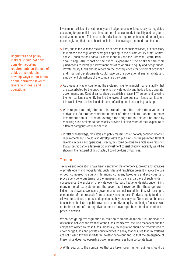Regulators and policy makers should not only consider reporting requirements on the use of debt, but should also develop ways to put limits on the permitted level of leverage in deals and operations.

investment policies of private equity and hedge funds should generally be regulated according to prudential rules aimed at both financial market stability and long-term asset value creation. This means that disclosure requirements should be designed accordingly and that there should be limits to the leverage that funds can take on.

- > First, due to the vast and reckless use of debt to fund their activities, it is necessary to increase the regulatory oversight applying to the private equity firms. Central banks – such as the Federal Reserve in the US and the European Central Bank – should regularly report on the overall exposure of the banks within their jurisdictions to leveraged investment activities of private equity and hedge funds. Private equity funds should report on the consequences that different economic and financial developments could have on the operational sustainability and employment obligations of the companies they own.
- > As a general way of countering the systemic risks to financial market stability that are exacerbated by the opacity in which private equity and hedge funds operate, governments and Central Banks should establish a 'Basel III'75 agreement covering the non-banking sector. By limiting the levels of leverage such funds can take on, this would lower the likelihood of them defaulting and hence going bankrupt.
- > With respect to hedge funds, it is crucial to monitor their extensive use of derivatives. As a rather restricted number of prime brokers – about ten major investment banks – provide leverage for hedge funds, this can be done by requiring such brokers to periodically provide full disclosure of their exposure to different categories of financial risks.
- > In relation to leverage, regulators and policy makers should not only consider reporting requirements but should also develop ways to put limits on the permitted level of leverage in deals and operations. Directly, this could be done by simple rules requiring that a specific part of a takeover bid or investment consist of equity. Indirectly, as will be shown in the next part of this chapter, it could be done by tax rules.

#### **Taxation**

Tax rules and regulations have been central for the emergence, growth and activities of private equity and hedge funds. Such rules and regulation presently favour the use of debt compared to equity in financing company takeovers and activities, and provide very generous terms for the managers and general partners of such funds. In consequence, the explosion of private equity but also hedge funds risks undermining many national tax systems and the government revenues that these generate. Indeed, as shown above, some governments have calculated that they will lose up to one quarter of the proceeds from company income taxes if private equity funds are allowed to continue to grow and operate as they presently do. Tax rules can be used to constrain the loss of public revenue due to private equity and hedge funds as well as to limit some of the negative aspects of leveraged buyouts discussed in the previous section.

When designing tax regulation in relation to financialisation it is important to distinguish between the taxation of the funds themselves, the fund managers and the companies owned by these funds. Generally, tax regulation should be reconfigured to cover hedge funds and private equity regimes in a way that ensures that tax systems are not biased toward short-term investor behaviour and so that the emergence of these funds does not jeopardise government revenues from corporate taxes.

> With regards to the companies that are taken over, tighter regimes should be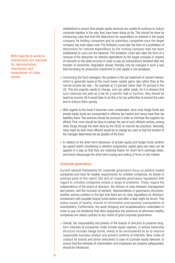With regards to workers, mechanisms are required for representation, information and consultation of trade unions.

established to ensure that private equity ventures are unable to continue to reduce corporate taxation in the way they have been doing so far. This should be done by introducing rules that limit the deductions for expenditure on interest in the target company, its holding companies and its subsidiary companies once the target company has been taken over. The limitation could take the form of a prohibition of deductions for interest expenditure by the holding company that has been established to carry out the takeover. The limitation could also take the form of a removal of the deduction for interest expenditure by the target company in respect of interests on the debt incurred in order to pay an extraordinary dividend after the transfer of ownership. Regulation should, thereby, only be changed in such a way that borrowing for productive investment in real capital is not penalised.

- > Concerning the fund managers, the problem is the tax treatment of carried interest, which is generally taxed at the much lower capital gains rate rather than at the normal income tax rate – for example at 15 percent rather than 35 percent in the US. This too urgently needs to change, and can rather easily. As it is obvious that such revenues are paid as a fee for a specific task or function, they should be taxed as income. All it would take to do this is for tax authorities to amend the rules and to enforce them quickly.
- > With regards to the funds it becomes more complicated, since most hedge funds and private equity funds are incorporated in offshore tax havens and hence have their tax liabilities there. Two avenues should be pursued in order to minimise the negative tax effects. First, more should be done to restrain the use of such offshore centres, among other things through the work done by the OECD on harmful tax practices. Secondly, what might be even more efficient would be to change tax rules so that the location of the manager determines the tax position of the fund.
- > In relation to the short-term behaviour of private equity and hedge funds another tax aspect worth considering is whether progressive capital gains tax rates can be applied in a way so that they are relatively higher for short-term arbitrage deals, and hence discourage the short-term buying and selling of firms on the market.

#### Corporate governance

Current national frameworks for corporate governance focus on publicly traded companies and have far weaker requirements for unlisted companies. As shown in previous parts of this report, this lack of corporate governance regulations with regard to unlisted companies entails a range of problems. These regard the independence of the board of directors, the division of roles between management and owners, and the inclusion of workers' representatives in governance structures. Another serious problem is the fact that there are no clear regulations on directors' involvement with possible buyout funds before and after a deal might be struck. This raises issues of loyalty, misuse of information and possible manipulation of shareholders. Furthermore, the asset stripping and recapitalisations undertaken in order to pay out dividends that often jeopardise the existence of otherwise healthy companies are clearly contrary to any notion of good corporate governance.

> Overall, the responsibility and powers of the boards of directors to preserve longterm interests of companies under private equity regimes, or whose ownership structure includes hedge funds, needs to be reconsidered so as to improve responsible business conduct and prevent conflicts of interests. New codes of conduct for boards and senior executives in case of a private equity takeover, to ensure that the interests of shareholders and employees are properly safeguarded, should be introduced.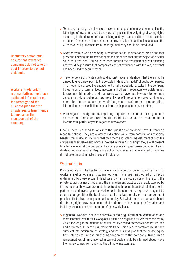Regulatory action must ensure that leveraged companies do not take on debt in order to pay out dividends.

Workers' trade union representatives must have sufficient information on the strategy and the business plan that the private equity firm intends to impose on the management of the company.

- > To ensure that long-term investors have the strongest influence on companies, the latter type of investors could be rewarded by permitting weighting of voting rights according to the duration of shareholding and by means of differentiated taxation of income from shareholders. In order to prevent value extraction, limitations on the withdrawal of liquid assets from the target company should be introduced.
- > Another avenue worth exploring is whether capital maintenance provisions that prescribe limits to the transfer of debts to companies that are the object of buyouts could be introduced. This could be done through the restriction of credit financing and would help ensure that companies are not overloaded with the very debt that has been used to acquire them.
- > The emergence of private equity and activist hedge funds shows that there may be a need to give a new push to the so-called 'Rhineland model' of public companies. This model guarantees the engagement of all parties with a stake in the company including unions, communities, investors and others. If regulators were determined to promote this model, fund managers would have less leverage to continue disregarding stakeholders as they presently do. With regards to workers, this would mean that due consideration would be given to trade union representation, information and consultation mechanisms, as happens in many countries.
- > With regard to hedge funds, reporting requirements should not only include assessment of risks and returns but should also look at the social impact of investments, particularly with regard to employment.

Finally, there is a need to look into the question of dividend payouts through recapitalisations. They are a way of extracting value from corporations that only benefits the private equity funds that own them and acts to the detriment of both the companies themselves and anyone involved in them. Surprisingly, they are at present fully legal – even if the company they take place in goes broke because of such dividend recapitalisations. Regulatory action must ensure that leveraged companies do not take on debt in order to pay out dividends.

# Workers' rights

Private equity and hedge funds have a track record showing scant respect for workers' rights. Again and again, workers have been neglected or directly undermined by these actors. Indeed, as shown in previous parts of this report, the private equity business model and the management practices generally applied by the companies they own are in stark contrast with sound industrial relations, social partnership and investing in the workforce. In the short term, regulation may not be able to change either the business model of private equity or the management practices that private equity companies employ. But what regulation can and should do, starting right away, is to ensure that trade unions have enough information and that they are consulted on the future of their workplaces.

> In general, workers' rights to collective bargaining, information, consultation and representation within their workplaces should be regarded as key mechanisms by which the long-term interests of private equity-backed companies can be secured and promoted. In particular, workers' trade union representatives must have sufficient information on the strategy and the business plan that the private equity firm intends to impose on the management of the company. Trade union representatives of firms involved in buy-out deals should be informed about where the money comes from and who the ultimate investors are.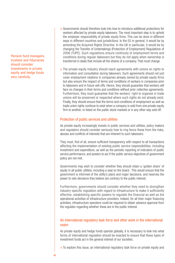Pension fund managers, trustees and fiduciaries should consider investments in private equity and hedge funds very carefully.

- > Governments should therefore look into how to introduce additional protections for workers affected by private equity takeovers. The most important step is to uphold the employer responsibility of private equity firms. This can be done in different ways in different countries and jurisdictions. In the EU in general, it would be by amending the Acquired Rights Directive. In the UK in particular, it would be by changing the Transfer of Undertakings (Protection of Employment) Regulations of 2006 (TUPE). Such regulations ensure continuity of employment terms and conditions during regular takeovers but they do not apply when ownership is transferred in deals that include all the shares of a company. That must change.
- > The private equity industry should reach agreements with unions on rights to information and consultation during takeovers. Such agreements should not just cover employment relations in companies already owned by private equity firms but also ensure the respect of terms and conditions of workers in companies prior to takeovers and in future sell-offs. Hence, they should guarantee that workers will face no changes in their terms and conditions without prior collective agreements. Furthermore, they must guarantee that the workers' right to organise in trade unions will be preserved or respected where such rights do not already exist. Finally, they should ensure that the terms and conditions of employment as well as trade union rights continue to exist when a company is sold from one private equity firm to another, re-listed on the public stock markets or in any other way sold off.

#### Protection of public services and utilities

As private equity increasingly invests in public services and utilities, policy makers and regulators should consider seriously how to ring fence these from the risks, abuses and conflicts of interests that are inherent to such takeovers.

They must, first of all, ensure sufficient transparency with respect to all transactions affecting the implementation of existing public service responsibilities, including investment and expenditure, as well as the periodic reporting of indicators of public service performance, and powers to act if the public service objectives of government policy are not met.

Governments may wish to consider whether they should retain a 'golden share' of equity in all public utilities, including a seat on the board. This would ensure that the government is informed of the utility's plans and major decisions, and reserves the power to veto decisions they believe are contrary to the public interest.

Furthermore, governments should consider whether they need to strengthen industry-specific regulation with regard to infrastructure to make it sufficiently effective, establishing specific powers to regulate the financial as well as the operational activities of infrastructure providers. Indeed, for all their major financing activities, infrastructure operators could be required to obtain advance approval from the regulator regarding whether these are in the public interest.

# An international regulatory task force and other work in the international realm

As private equity and hedge funds operate globally, it is necessary to look into what forms of international regulation should be enacted to ensure that these types of investment funds act in the general interest of our societies.

> To explore this issue, an international regulatory task force on private equity and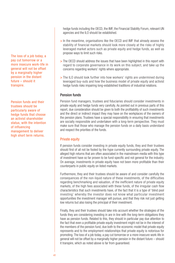The loss of a job today, a pay cut tomorrow or a more insecure work-life in general will not be offset by a marginally higher pension in the distant future – should it transpire.

Pension funds and their trustees should be particularly aware of hedge funds that choose an activist shareholder status, with the intention of influencing management to deliver high short term returns.

hedge funds including the OECD, the IMF, the Financial Stability Forum, relevant UN agencies and the ILO should be established.

- > In the meantime, organisations like the OECD and IMF that already assess the stability of financial markets should look more closely at the risks of highly leveraged market actors such as private equity and hedge funds, as well as propose ways to limit such risks.
- > The OECD should address the issues that have been highlighted in this report with regard to corporate governance in its work on this subject, and take up the concerns regarding workers' rights where appropriate.
- > The ILO should look further into how workers' rights are undermined during leveraged buy-outs and how the business model of private equity and activist hedge funds risks impairing long-established traditions of industrial relations.

# Pension funds

Pension fund managers, trustees and fiduciaries should consider investments in private equity and hedge funds very carefully. As pointed out in previous parts of this report, due consideration should be given to both the profitability of such investments and the direct or indirect impact they may have on the workplaces of the owners of the pension plans. Trustees have a special responsibility in ensuring that investments are socially responsible and undertaken with a long-term perspective. They must make sure that those who manage the pension funds on a daily basis understand and respect the priorities of the funds.

### Private equity

If pension funds consider investing in private equity funds, they and their trustees should first of all not be fooled by the hype currently surrounding private equity. The alleged high returns that are often associated in the mainstream media with this type of investment have so far proven to be fund-specific and not general for the industry. On average, investments in private equity have not been more profitable than their counterparts in public equity on listed markets.

Furthermore, they and their trustees should be aware of and consider carefully the consequences of the non-liquid nature of these investments, of the difficulties regarding benchmarking and valuation, of the inefficient nature of private equity markets, of the high fees associated with these funds, of the irregular cash flow characteristics that such investments have, of the fact that it is a type of 'blind pool investing' whereby the investor does not know what particular investment opportunities the investment manager will pursue, and that they risk not just getting low returns but also losing the principal of their investment.

Finally, they and their trustees should take into account whether the strategies of the funds they are considering investing in are in line with the long-term obligations they have as pension funds. Related to this, they should in particular pay due attention to the fact that even a profitable private equity investment might not be in the interest of the members of the pension fund, due both to the economic model that private equity represents and to the employment relationships that private equity is notorious for promoting. The loss of a job today, a pay cut tomorrow or a more insecure work-life in general will not be offset by a marginally higher pension in the distant future – should it transpire, which as noted above is far from guaranteed.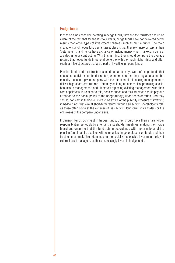#### Hedge funds

If pension funds consider investing in hedge funds, they and their trustees should be aware of the fact that for the last four years, hedge funds have not delivered better results than other types of investment schemes such as mutual funds. The main characteristic of hedge funds as an asset class is that they rely more on 'alpha' than 'beta' returns, and hence have a chance of making money when markets in general are declining or contracting. With this in mind, they should compare the average returns that hedge funds in general generate with the much higher risks and often exorbitant fee structures that are a part of investing in hedge funds.

Pension funds and their trustees should be particularly aware of hedge funds that choose an activist shareholder status, which means that they buy a considerable minority stake in a given company with the intention of influencing management to deliver high short term returns – often by splitting up companies, promising special bonuses to management, and ultimately replacing existing management with their own appointees. In relation to this, pension funds and their trustees should pay due attention to the social policy of the hedge fund(s) under consideration. And they should, not least in their own interest, be aware of the publicity exposure of investing in hedge funds that aim at short-term returns through an activist shareholder's role, as these often come at the expense of less activist, long-term shareholders or the employees of the company under siege.

If pension funds do invest in hedge funds, they should take their shareholder responsibilities seriously by attending shareholder meetings, making their voice heard and ensuring that the fund acts in accordance with the principles of the pension fund in all its dealings with companies. In general, pension funds and their trustees must make high demands on the socially responsible investment policy of external asset managers, as these increasingly invest in hedge funds.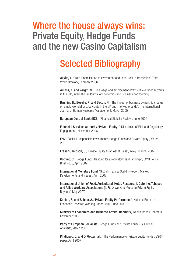# Selected Bibliography

Akyüs, Y., 'From Liberalisation to Investment and Jobs: Lost in Translation', Third World Network, February 2006

Amess, K. and Wright, M., 'The wage and employment effects of leveraged buyouts in the UK', International Journal of Economics and Business, forthcoming

Bruining H., Boselie, P., and Bacon, N., 'The impact of business ownership change on employee relations: buy-outs in the UK and The Netherlands', The International Journal of Human Resource Management, March 2005

European Central Bank (ECB), 'Financial Stability Review', June 2006

Financial Services Authority, 'Private Equity: A Discussion of Risk and Regulatory Engagement', November 2006

FNV, 'Socially Responsible Investments, Hedge Funds and Private Equity', March, 2007

Fraser-Sampson, G., 'Private Equity as an Asset Class', Wiley Finance, 2007

Gottlieb, C., 'Hedge Funds: Heading for a regulatory hard landing?', ECMI Policy Brief No. 5, April 2007

International Monetary Fund, 'Global Financial Stability Report: Market Developments and Issues', April 2007

International Union of Food, Agricultural, Hotel, Restaurant, Catering, Tobacco and Allied Workers' Associations (IUF), 'A Workers' Guide to Private Equity Buyouts', May 2007

Kaplan, S. and Schoar, A., 'Private Equity Performance', National Bureau of Economic Research Working Paper 9807, June 2003

Ministry of Economics and Business Affairs, Denmark, 'Kapitalfonde i Danmark', November 2006

Party of European Socialists, 'Hedge Funds and Private Equity - A Critical Analysis', March 2007

**Phalippou, L. and O. Gottschalg.** 'The Performance of Private Equity Funds', SSRN paper, April 2007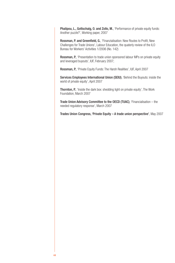Phalipou, L., Gottschalg, O. and Zollo, M., 'Performance of private equity funds: Another puzzle?', Working paper, 2007

Rossman, P. and Greenfield, G., 'Finanzialisation: New Routes to Profit, New Challenges for Trade Unions', Labour Education, the quaterly review of the ILO Bureau for Workers' Activities 1/2006 (No. 142)

Rossman, P., 'Presentation to trade union sponsored labour MPs on private equity and leveraged buyouts', IUF, February 2007;

Rossman, P., 'Private Equity Funds: The Harsh Realities', IUF, April 2007

Services Employees International Union (SEIU), 'Behind the Buyouts: inside the world of private equity', April 2007

Thornton, P., 'Inside the dark box: shedding light on private equity', The Work Foundation, March 2007

Trade Union Advisory Committee to the OECD (TUAC), 'Financialisation – the needed regulatory response', March 2007

Trades Union Congress, 'Private Equity – A trade union perspective', May 2007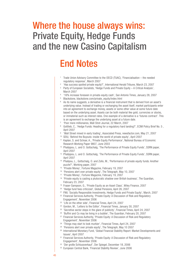# End Notes

- <sup>1</sup> Trade Union Advisory Committee to the OECD (TUAC), 'Financialisation the needed regulatory response', March 2007
- <sup>2</sup> 'Has success spoiled private equity?', International Herald Tribune, March 23, 2007
- <sup>3</sup> Party of European Socialists, 'Hedge Funds and Private Equity A Critical Analysis', March 2007
- 4 '16% increase foreseen in private-equity cash', San Antonio Times, January 28, 2007
- 
- $6$  As its name suggests, a derivative is a financial instrument that is derived from an asset's underlying value. Instead of trading or exchanging the asset itself, market participants enter into an agreement to exchange money, assets or some other value at some future date based on the underlying asset. Assets can be both material like gold, currencies or stocks, or immaterial such as interest rates. One example of a derivative is a 'futures contract'. This is an agreement to exchange the underlying asset at a future date.
- 7 'Poor mere millionaires, Wall Stret Journal, 22 March, 2007
- <sup>8</sup> Gottlieb, C., 'Hedge Funds: Heading for a regulatory hard landing?', ECMI Policy Brief No. 5, April 2007
- 9 'Wall Street mixed in early trading', Associated Press, newsfactor.com, May 21, 2007
- 10 SEIU, 'Behind the Buyouts: inside the world of private equity', April 2007
- <sup>11</sup> Kaplan, S. and Schoar, A., 'Private Equity Performance', National Bureau of Economic Research Working Paper 9807, June 2003
- 12 Phalippou, L. and O. Gottschalg, 'The Performance of Private Equity Funds', SSRN paper, April 2007
- 13 Phalippou, L. and O. Gottschalg, 'The Performance of Private Equity Funds', SSRN paper, April 2007
- 14 Phalipou, L., Gottschalg, O. and Zollo, M., 'Performance of private equity funds: Another puzzle?', Working paper, 2007<br><sup>15</sup> 'Private Money', Fortune Magazine, February 19, 2007
- 
- <sup>16</sup> 'Pensions alert over private equity', The Telegraph, May 10, 2007
- 17 'Private Money', Fortune Magazine, February 19, 2007
- <sup>18</sup> 'Private equity is casting a plutocratic shadow over British business', The Guardian, February 23, 2007
- 19 Fraser-Sampson, G., 'Private Equity as an Asset Class', Wiley Finance, 2007
- <sup>20</sup> 'Hedge fund fees criticized', Global Pensions, April 26, 2007
- <sup>21</sup> FNV, 'Socially Responsible Investments, Hedge Funds and Private Equity', March, 2007
- <sup>22</sup> Financial Services Authority, 'Private Equity: A Discussion of Risk and Regulatory Engagement', November 2006
- <sup>23</sup> 'Life on the other side', Financial Times, April 24, 2007
- 24 Gordon, M., 'Letters to the Editor', Financial Times, January 30, 2007
- <sup>25</sup> 'Secretive sector steps in the glare of publicity', Financial Times, April 24, 2007
- 26 'Buffini and Co may be living in a bubble', The Guardian, February 20, 2007
- 27 Financial Services Authority, 'Private Equity: A Discussion of Risk and Regulatory Engagement', November 2006
- 28 'Things may start to look murkier', Financial Times, April 24, 2007
- 29 'Pensions alert over private equity', The Telegraph, May 10 2007
- 30 International Monetary Fund, 'Global Financial Stability Report: Market Developments and Issues', April 2007
- <sup>31</sup> Financial Services Authority, 'Private Equity: A Discussion of Risk and Regulatory Engagement', November 2006
- 32 'Der große Schlussverkauf', Der Spiegel, December 18, 2006
- 33 European Central Bank, 'Financial Stability Review', June 2006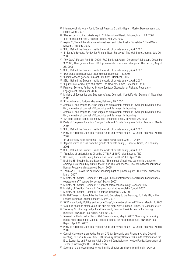- 34 International Monetary Fund, 'Global Financial Stability Report: Market Developments and Issues', April 2007
- 35 'Has success spoiled private equity?', International Herald Tribune, March 23, 2007
- 36 'Life on the other side', Financial Times, April 24, 2007
- 37 Akyüs, Y., 'From Liberalisation to Investment and Jobs: Lost in Translation', Third World Network, February 2006
- 38 SEIU, 'Behind the Buyouts: inside the world of private equity', April 2007
- <sup>39</sup> 'In Today's Buyouts, Payday for Firms is Never Far Away', The Wall Street Journal, July 26, 2006.
- 40 'Toy Story', Forbes, April 18, 2005; 'FAO Bankrupt Again', ConsumerAffairs.com, December 3, 2003; 'New game in town; KB Toys remodels to lure mall shoppers', The Record, August 26, 2006.
- 40 SEIU, 'Behind the Buyouts: inside the world of private equity', April 2007
- 42 'Der große Schlussverkauf', Der Spiegel, December 18, 2006
- 43 'Kapitalfondene går efter nulskat', Politiken, March 21, 2007
- 44 SEIU, 'Behind the Buyouts: inside the world of private equity', April 2007
- 45 'Equity Deals Attract Eye of Justice', The New York Times, October 11, 2006
- 46 Financial Services Authority, 'Private Equity: A Discussion of Risk and Regulatory Engagement', November 2006
- 47 Ministry of Economics and Business Affairs, Denmark, 'Kapitalfonde i Danmark', November 2006
- 48 'Private Money', Fortune Magazine, February 19, 2007
- 49 Amess, K. and Wright, M., 'The wage and employment effects of leveraged buyouts in the UK', International Journal of Economics and Business, forthcoming 50 Amess, K. and Wright, M., 'The wage and employment effects of leveraged buyouts in the
- UK', International Journal of Economics and Business, forthcoming
- 51 'AA boss admits cutting too many jobs', Financial Times, November 27, 2006
- 52 Party of European Socialists, 'Hedge Funds and Private Equity A Critical Analysis', March 2007
- 53 SEIU, 'Behind the Buyouts: inside the world of private equity', April 2007
- 54 Party of European Socialists, 'Hedge Funds and Private Equity A Critical Analysis', March 2007
- 55 'Private Equity hurts pensions', UNI, union-network.org, April 21, 2007
- 56 'Myners warns of risks from the growth of private equity', Financial Times, 21 February 2001
- 57 SEIU, 'Behind the Buyouts: inside the world of private equity', April 2007
- 58 'Transfers of Undertakings Directive 77/187 of 1977' also know as ARD
- 59 Rossman, P., 'Private Equity Funds: The Harsh Realities', IUF, April 2007
- 60 Bruining H., Boselie, P., and Bacon, N., 'The impact of business ownership change on employee relations: buy-outs in the UK and The Netherlands', The International Journal of Human Resource Management, March 2005
- <sup>61</sup> Thornton, P., 'Inside the dark box: shedding light on private equity'. The Work Foundation, March 2007
- 62 Ministry of Taxation, Denmark, 'Status på SKATs kontrolindsats vedrørende kapitalfondes overtagelse af 7 danske koncerner', March 2007.
- 63 Ministry of Taxation, Denmark, 'En robust selskabsbeskatning', January 2007.
- <sup>64</sup> Ministry of Taxation, Denmark, 'Indgreb mod skattespekulation', April 2007<br><sup>65</sup> Ministry of Taxation, Denmark, 'En fair selskabsskat', May 2007
- 
- 66 UK HM Treasury, 'Speech by the Economic Secretary to the Treasury, Ed Balls MP, to the London Business School, London', March 2007.
- 67 'Of Private Equity, Politics and Income Taxes', International Herald Tribune, March 11, 2007
- 68 'A public relations offensive on the buy-out high-wire', Financial Times, 26 January, 2007
- <sup>69</sup> 'Treasury Scrutinizing Hedge Fund Treatment; Seen as Possible Source for Raising Revenue', BNA Daily Tax Report, April 30, 2007
- 70 'Assault on the Investor Class', Wall Street Journal, May 7, 2007; 'Treasury Scrutinizing Hedge Fund Treatment; Seen as Possible Source for Raising Revenue', BNA Daily Tax Report, April 30, 2007
- <sup>71</sup> Party of European Socialists, 'Hedge Funds and Private Equity  $-$  A Critical Analysis', March 2007
- 72 Council Conclusions on Hedge Funds, 2798th Economic and Financial Affairs Council meeting, Brussels, 8 May 2007; U.S. Treasury Deputy Secretary Kimmitt Statement on the E.U. Economics and Financial Affairs Council Conclusions on Hedge Funds, Department of Treasury, Washington D.C., 8. May 2007
- $73$  Several of the proposals put forward in this chapter are drawn from the joint work on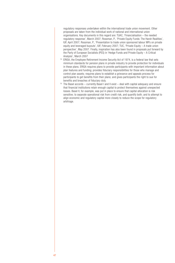regulatory responses undertaken within the international trade union movement. Other proposals are taken from the individual work of national and international union organisations. Key documents in this regard are: TUAC, 'Financialisation – the needed regulatory response', March 2007; Rossman, P., 'Private Equity Funds: The Harsh Realities', IUF, April 2007; Rossman, P., 'Presentation to trade union sponsored labour MPs on private equity and leveraged buyouts', IUF, February 2007; TUC, 'Private Equity – A trade union perspective', May 2007. Finally, inspiration has also been found in proposals put forward by the Party of European Socialists (PES) in 'Hedge Funds and Private Equity – A Critical Analysis', March 2007

- 74 ERISA, the Employee Retirement Income Security Act of 1974, is a federal law that sets minimum standards for pension plans in private industry to provide protection for individuals in these plans. ERISA requires plans to provide participants with important information about plan features and funding; provides fiduciary responsibilities for those who manage and control plan assets; requires plans to establish a grievance and appeals process for participants to get benefits from their plans; and gives participants the right to sue for benefits and breaches of fiduciary duty.
- $75$  The Basel accords currently Basel I and II exist deal with capital adequacy and ensure that financial institutions retain enough capital to protect themselves against unexpected losses. Basel II, for example, was put in place to ensure that capital allocation is risk sensitive; to separate operational risk from credit risk, and quantify both; and to attempt to align economic and regulatory capital more closely to reduce the scope for regulatory arbitrage.